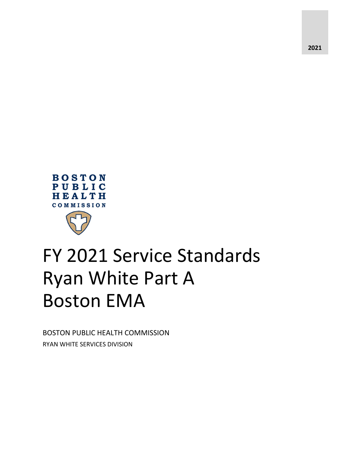



# FY 2021 Service Standards Ryan White Part A Boston EMA

BOSTON PUBLIC HEALTH COMMISSION RYAN WHITE SERVICES DIVISION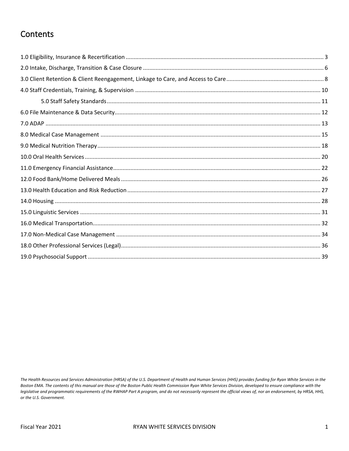## Contents

The Health Resources and Services Administration (HRSA) of the U.S. Department of Health and Human Services (HHS) provides funding for Ryan White Services in the Boston EMA. The contents of this manual are those of the Boston Public Health Commission Ryan White Services Division, developed to ensure compliance with the legislative and programmatic requirements of the RWHAP Part A program, and do not necessarily represent the official views of, nor an endorsement, by HRSA, HHS, or the U.S. Government.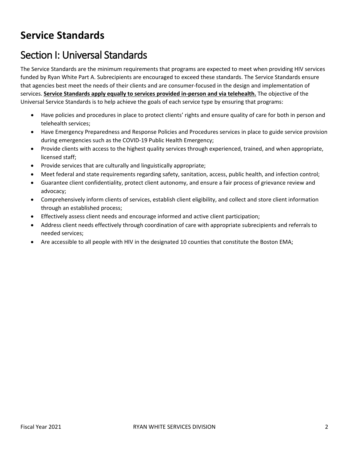## **Service Standards**

## Section I: Universal Standards

The Service Standards are the minimum requirements that programs are expected to meet when providing HIV services funded by Ryan White Part A. Subrecipients are encouraged to exceed these standards. The Service Standards ensure that agencies best meet the needs of their clients and are consumer-focused in the design and implementation of services. **Service Standards apply equally to services provided in-person and via telehealth.** The objective of the Universal Service Standards is to help achieve the goals of each service type by ensuring that programs:

- Have policies and procedures in place to protect clients' rights and ensure quality of care for both in person and telehealth services;
- Have Emergency Preparedness and Response Policies and Procedures services in place to guide service provision during emergencies such as the COVID-19 Public Health Emergency;
- Provide clients with access to the highest quality services through experienced, trained, and when appropriate, licensed staff;
- Provide services that are culturally and linguistically appropriate;
- Meet federal and state requirements regarding safety, sanitation, access, public health, and infection control;
- Guarantee client confidentiality, protect client autonomy, and ensure a fair process of grievance review and advocacy;
- Comprehensively inform clients of services, establish client eligibility, and collect and store client information through an established process;
- Effectively assess client needs and encourage informed and active client participation;
- Address client needs effectively through coordination of care with appropriate subrecipients and referrals to needed services;
- Are accessible to all people with HIV in the designated 10 counties that constitute the Boston EMA;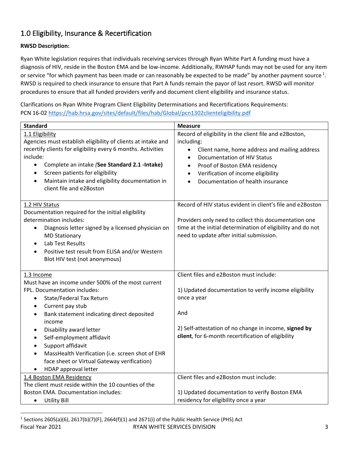## <span id="page-3-0"></span>1.0 Eligibility, Insurance & Recertification

#### **RWSD Description:**

Ryan White legislation requires that individuals receiving services through Ryan White Part A funding must have a diagnosis of HIV, reside in the Boston EMA and be low-income. Additionally, RWHAP funds may not be used for any item or service "for which payment has been made or can reasonably be expected to be made" by another payment source  $1$ . RWSD is required to check insurance to ensure that Part A funds remain the payor of last resort. RWSD will monitor procedures to ensure that all funded providers verify and document client eligibility and insurance status.

Clarifications on Ryan White Program Client Eligibility Determinations and Recertifications Requirements: PCN 16-02<https://hab.hrsa.gov/sites/default/files/hab/Global/pcn1302clienteligibility.pdf>

<span id="page-3-1"></span>

| <b>Standard</b>                                                                                                                                                                                                                                                                                                                                                                                                                                                                                    | <b>Measure</b>                                                                                                                                                                                                                                                                                                                           |
|----------------------------------------------------------------------------------------------------------------------------------------------------------------------------------------------------------------------------------------------------------------------------------------------------------------------------------------------------------------------------------------------------------------------------------------------------------------------------------------------------|------------------------------------------------------------------------------------------------------------------------------------------------------------------------------------------------------------------------------------------------------------------------------------------------------------------------------------------|
| 1.1 Eligibility<br>Agencies must establish eligibility of clients at intake and<br>recertify clients for eligibility every 6 months. Activities<br>include:<br>Complete an intake (See Standard 2.1 - Intake)<br>$\bullet$<br>Screen patients for eligibility<br>$\bullet$<br>Maintain intake and eligibility documentation in<br>$\bullet$<br>client file and e2Boston                                                                                                                            | Record of eligibility in the client file and e2Boston,<br>including:<br>Client name, home address and mailing address<br>$\bullet$<br><b>Documentation of HIV Status</b><br>$\bullet$<br>Proof of Boston EMA residency<br>$\bullet$<br>Verification of income eligibility<br>$\bullet$<br>Documentation of health insurance<br>$\bullet$ |
| 1.2 HIV Status<br>Documentation required for the initial eligibility<br>determination includes:<br>Diagnosis letter signed by a licensed physician on<br>$\bullet$<br><b>MD Stationary</b><br>Lab Test Results<br>$\bullet$<br>Positive test result from ELISA and/or Western<br>$\bullet$<br>Blot HIV test (not anonymous)                                                                                                                                                                        | Record of HIV status evident in client's file and e2Boston<br>Providers only need to collect this documentation one<br>time at the initial determination of eligibility and do not<br>need to update after initial submission.                                                                                                           |
| 1.3 Income                                                                                                                                                                                                                                                                                                                                                                                                                                                                                         | Client files and e2Boston must include:                                                                                                                                                                                                                                                                                                  |
| Must have an income under 500% of the most current<br>FPL. Documentation includes:<br>State/Federal Tax Return<br>$\bullet$<br>Current pay stub<br>$\bullet$<br>Bank statement indicating direct deposited<br>$\bullet$<br>income<br>Disability award letter<br>$\bullet$<br>Self-employment affidavit<br>٠<br>Support affidavit<br>$\bullet$<br>MassHealth Verification (i.e. screen shot of EHR<br>$\bullet$<br>face sheet or Virtual Gateway verification)<br>HDAP approval letter<br>$\bullet$ | 1) Updated documentation to verify income eligibility<br>once a year<br>And<br>2) Self-attestation of no change in income, signed by<br>client, for 6-month recertification of eligibility                                                                                                                                               |
| 1.4 Boston EMA Residency                                                                                                                                                                                                                                                                                                                                                                                                                                                                           | Client files and e2Boston must include:                                                                                                                                                                                                                                                                                                  |
| The client must reside within the 10 counties of the                                                                                                                                                                                                                                                                                                                                                                                                                                               |                                                                                                                                                                                                                                                                                                                                          |
| <b>Boston EMA. Documentation includes:</b><br><b>Utility Bill</b><br>$\bullet$                                                                                                                                                                                                                                                                                                                                                                                                                     | 1) Updated documentation to verify Boston EMA<br>residency for eligibility once a year                                                                                                                                                                                                                                                   |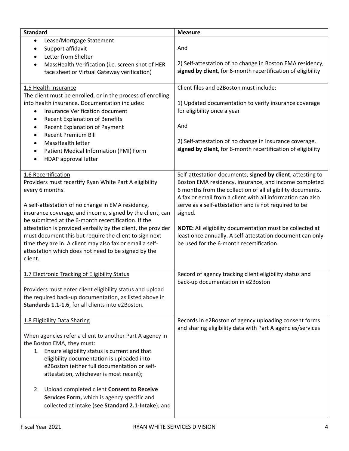| <b>Standard</b>                                                                                                                                                                                                                                                                                                                                                                                                                                                                                                                   | <b>Measure</b>                                                                                                                                                                                                                                                                                                                                                                                                                                                                           |
|-----------------------------------------------------------------------------------------------------------------------------------------------------------------------------------------------------------------------------------------------------------------------------------------------------------------------------------------------------------------------------------------------------------------------------------------------------------------------------------------------------------------------------------|------------------------------------------------------------------------------------------------------------------------------------------------------------------------------------------------------------------------------------------------------------------------------------------------------------------------------------------------------------------------------------------------------------------------------------------------------------------------------------------|
| Lease/Mortgage Statement<br>$\bullet$<br>Support affidavit<br>$\bullet$<br>Letter from Shelter<br>$\bullet$<br>MassHealth Verification (i.e. screen shot of HER<br>$\bullet$<br>face sheet or Virtual Gateway verification)                                                                                                                                                                                                                                                                                                       | And<br>2) Self-attestation of no change in Boston EMA residency,<br>signed by client, for 6-month recertification of eligibility                                                                                                                                                                                                                                                                                                                                                         |
| 1.5 Health Insurance<br>The client must be enrolled, or in the process of enrolling<br>into health insurance. Documentation includes:<br><b>Insurance Verification document</b><br>$\bullet$<br><b>Recent Explanation of Benefits</b><br>$\bullet$<br><b>Recent Explanation of Payment</b><br>$\bullet$<br><b>Recent Premium Bill</b><br>$\bullet$<br>MassHealth letter<br>$\bullet$<br>Patient Medical Information (PMI) Form<br>$\bullet$<br>HDAP approval letter<br>$\bullet$                                                  | Client files and e2Boston must include:<br>1) Updated documentation to verify insurance coverage<br>for eligibility once a year<br>And<br>2) Self-attestation of no change in insurance coverage,<br>signed by client, for 6-month recertification of eligibility                                                                                                                                                                                                                        |
| 1.6 Recertification<br>Providers must recertify Ryan White Part A eligibility<br>every 6 months.<br>A self-attestation of no change in EMA residency,<br>insurance coverage, and income, signed by the client, can<br>be submitted at the 6-month recertification. If the<br>attestation is provided verbally by the client, the provider<br>must document this but require the client to sign next<br>time they are in. A client may also fax or email a self-<br>attestation which does not need to be signed by the<br>client. | Self-attestation documents, signed by client, attesting to<br>Boston EMA residency, insurance, and income completed<br>6 months from the collection of all eligibility documents.<br>A fax or email from a client with all information can also<br>serve as a self-attestation and is not required to be<br>signed.<br>NOTE: All eligibility documentation must be collected at<br>least once annually. A self-attestation document can only<br>be used for the 6-month recertification. |
| 1.7 Electronic Tracking of Eligibility Status<br>Providers must enter client eligibility status and upload<br>the required back-up documentation, as listed above in<br>Standards 1.1-1.6, for all clients into e2Boston.                                                                                                                                                                                                                                                                                                         | Record of agency tracking client eligibility status and<br>back-up documentation in e2Boston                                                                                                                                                                                                                                                                                                                                                                                             |
| 1.8 Eligibility Data Sharing<br>When agencies refer a client to another Part A agency in<br>the Boston EMA, they must:<br>1. Ensure eligibility status is current and that<br>eligibility documentation is uploaded into<br>e2Boston (either full documentation or self-<br>attestation, whichever is most recent);<br>Upload completed client Consent to Receive<br>2.<br>Services Form, which is agency specific and<br>collected at intake (see Standard 2.1-Intake); and                                                      | Records in e2Boston of agency uploading consent forms<br>and sharing eligibility data with Part A agencies/services                                                                                                                                                                                                                                                                                                                                                                      |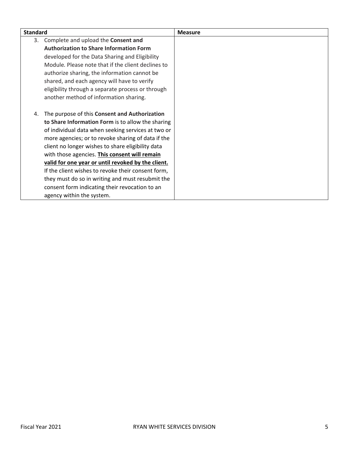| <b>Standard</b> |                                                    | <b>Measure</b> |
|-----------------|----------------------------------------------------|----------------|
| 3.              | Complete and upload the Consent and                |                |
|                 | <b>Authorization to Share Information Form</b>     |                |
|                 | developed for the Data Sharing and Eligibility     |                |
|                 | Module. Please note that if the client declines to |                |
|                 | authorize sharing, the information cannot be       |                |
|                 | shared, and each agency will have to verify        |                |
|                 | eligibility through a separate process or through  |                |
|                 | another method of information sharing.             |                |
|                 |                                                    |                |
| 4.              | The purpose of this Consent and Authorization      |                |
|                 | to Share Information Form is to allow the sharing  |                |
|                 | of individual data when seeking services at two or |                |
|                 | more agencies; or to revoke sharing of data if the |                |
|                 | client no longer wishes to share eligibility data  |                |
|                 | with those agencies. This consent will remain      |                |
|                 | valid for one year or until revoked by the client. |                |
|                 | If the client wishes to revoke their consent form, |                |
|                 | they must do so in writing and must resubmit the   |                |
|                 | consent form indicating their revocation to an     |                |
|                 | agency within the system.                          |                |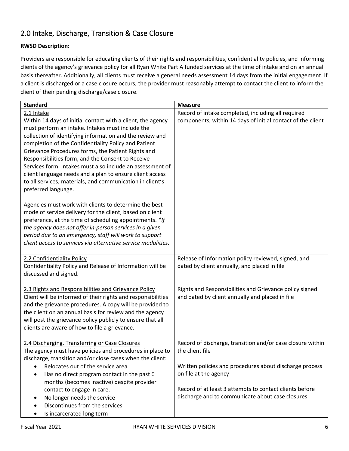## <span id="page-6-0"></span>2.0 Intake, Discharge, Transition & Case Closure

#### **RWSD Description:**

Providers are responsible for educating clients of their rights and responsibilities, confidentiality policies, and informing clients of the agency's grievance policy for all Ryan White Part A funded services at the time of intake and on an annual basis thereafter. Additionally, all clients must receive a general needs assessment 14 days from the initial engagement. If a client is discharged or a case closure occurs, the provider must reasonably attempt to contact the client to inform the client of their pending discharge/case closure.

| <b>Standard</b>                                                                                                       | <b>Measure</b>                                              |
|-----------------------------------------------------------------------------------------------------------------------|-------------------------------------------------------------|
| 2.1 Intake                                                                                                            | Record of intake completed, including all required          |
| Within 14 days of initial contact with a client, the agency                                                           | components, within 14 days of initial contact of the client |
| must perform an intake. Intakes must include the                                                                      |                                                             |
| collection of identifying information and the review and                                                              |                                                             |
| completion of the Confidentiality Policy and Patient                                                                  |                                                             |
| Grievance Procedures forms, the Patient Rights and                                                                    |                                                             |
| Responsibilities form, and the Consent to Receive                                                                     |                                                             |
| Services form. Intakes must also include an assessment of<br>client language needs and a plan to ensure client access |                                                             |
| to all services, materials, and communication in client's                                                             |                                                             |
| preferred language.                                                                                                   |                                                             |
|                                                                                                                       |                                                             |
| Agencies must work with clients to determine the best                                                                 |                                                             |
| mode of service delivery for the client, based on client                                                              |                                                             |
| preference, at the time of scheduling appointments. *If                                                               |                                                             |
| the agency does not offer in-person services in a given                                                               |                                                             |
| period due to an emergency, staff will work to support                                                                |                                                             |
| client access to services via alternative service modalities.                                                         |                                                             |
|                                                                                                                       |                                                             |
| 2.2 Confidentiality Policy                                                                                            | Release of Information policy reviewed, signed, and         |
| Confidentiality Policy and Release of Information will be                                                             | dated by client annually, and placed in file                |
| discussed and signed.                                                                                                 |                                                             |
| 2.3 Rights and Responsibilities and Grievance Policy                                                                  | Rights and Responsibilities and Grievance policy signed     |
| Client will be informed of their rights and responsibilities                                                          | and dated by client annually and placed in file             |
| and the grievance procedures. A copy will be provided to                                                              |                                                             |
| the client on an annual basis for review and the agency                                                               |                                                             |
| will post the grievance policy publicly to ensure that all                                                            |                                                             |
| clients are aware of how to file a grievance.                                                                         |                                                             |
|                                                                                                                       |                                                             |
| 2.4 Discharging, Transferring or Case Closures                                                                        | Record of discharge, transition and/or case closure within  |
| The agency must have policies and procedures in place to                                                              | the client file                                             |
| discharge, transition and/or close cases when the client:<br>Relocates out of the service area                        | Written policies and procedures about discharge process     |
|                                                                                                                       | on file at the agency                                       |
| Has no direct program contact in the past 6<br>$\bullet$<br>months (becomes inactive) despite provider                |                                                             |
| contact to engage in care.                                                                                            | Record of at least 3 attempts to contact clients before     |
| No longer needs the service<br>$\bullet$                                                                              | discharge and to communicate about case closures            |
| Discontinues from the services<br>$\bullet$                                                                           |                                                             |
| Is incarcerated long term<br>٠                                                                                        |                                                             |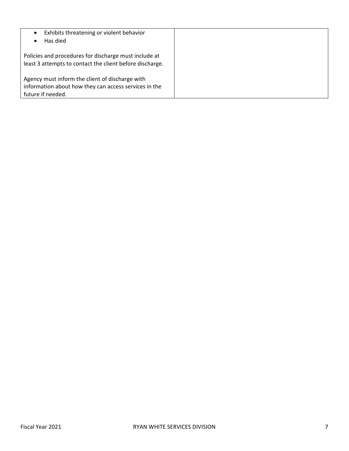| Exhibits threatening or violent behavior<br>Has died                                                                          |  |
|-------------------------------------------------------------------------------------------------------------------------------|--|
| Policies and procedures for discharge must include at<br>least 3 attempts to contact the client before discharge.             |  |
| Agency must inform the client of discharge with<br>information about how they can access services in the<br>future if needed. |  |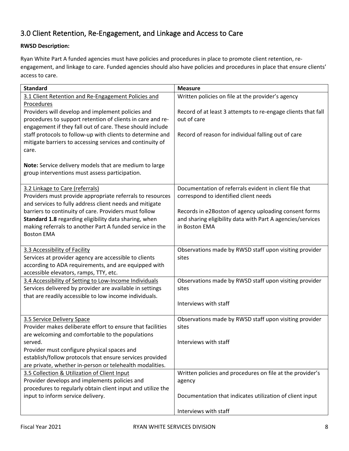## <span id="page-8-0"></span>3.0 Client Retention, Re-Engagement, and Linkage and Access to Care

#### **RWSD Description:**

Ryan White Part A funded agencies must have policies and procedures in place to promote client retention, reengagement, and linkage to care. Funded agencies should also have policies and procedures in place that ensure clients' access to care.

| <b>Standard</b>                                                                                                                                                                                   | <b>Measure</b>                                                                                                                       |
|---------------------------------------------------------------------------------------------------------------------------------------------------------------------------------------------------|--------------------------------------------------------------------------------------------------------------------------------------|
| 3.1 Client Retention and Re-Engagement Policies and                                                                                                                                               | Written policies on file at the provider's agency                                                                                    |
| <b>Procedures</b><br>Providers will develop and implement policies and<br>procedures to support retention of clients in care and re-<br>engagement if they fall out of care. These should include | Record of at least 3 attempts to re-engage clients that fall<br>out of care                                                          |
| staff protocols to follow-up with clients to determine and<br>mitigate barriers to accessing services and continuity of<br>care.                                                                  | Record of reason for individual falling out of care                                                                                  |
| Note: Service delivery models that are medium to large<br>group interventions must assess participation.                                                                                          |                                                                                                                                      |
| 3.2 Linkage to Care (referrals)<br>Providers must provide appropriate referrals to resources<br>and services to fully address client needs and mitigate                                           | Documentation of referrals evident in client file that<br>correspond to identified client needs                                      |
| barriers to continuity of care. Providers must follow<br>Standard 1.8 regarding eligibility data sharing, when<br>making referrals to another Part A funded service in the<br><b>Boston EMA</b>   | Records in e2Boston of agency uploading consent forms<br>and sharing eligibility data with Part A agencies/services<br>in Boston EMA |
| 3.3 Accessibility of Facility<br>Services at provider agency are accessible to clients<br>according to ADA requirements, and are equipped with<br>accessible elevators, ramps, TTY, etc.          | Observations made by RWSD staff upon visiting provider<br>sites                                                                      |
| 3.4 Accessibility of Setting to Low-Income Individuals<br>Services delivered by provider are available in settings<br>that are readily accessible to low income individuals.                      | Observations made by RWSD staff upon visiting provider<br>sites                                                                      |
|                                                                                                                                                                                                   | Interviews with staff                                                                                                                |
| 3.5 Service Delivery Space<br>Provider makes deliberate effort to ensure that facilities<br>are welcoming and comfortable to the populations                                                      | Observations made by RWSD staff upon visiting provider<br>sites                                                                      |
| served.                                                                                                                                                                                           | Interviews with staff                                                                                                                |
| Provider must configure physical spaces and                                                                                                                                                       |                                                                                                                                      |
| establish/follow protocols that ensure services provided                                                                                                                                          |                                                                                                                                      |
| are private, whether in-person or telehealth modalities.<br>3.5 Collection & Utilization of Client Input                                                                                          | Written policies and procedures on file at the provider's                                                                            |
| Provider develops and implements policies and                                                                                                                                                     | agency                                                                                                                               |
| procedures to regularly obtain client input and utilize the                                                                                                                                       |                                                                                                                                      |
| input to inform service delivery.                                                                                                                                                                 | Documentation that indicates utilization of client input                                                                             |
|                                                                                                                                                                                                   | Interviews with staff                                                                                                                |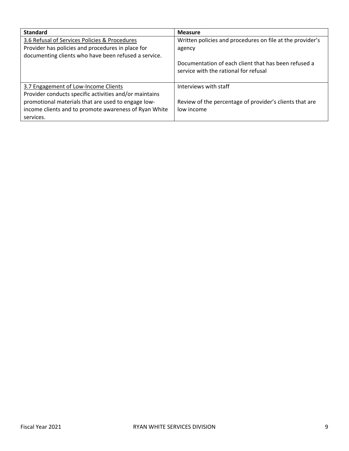| <b>Standard</b>                                        | <b>Measure</b>                                                                                |
|--------------------------------------------------------|-----------------------------------------------------------------------------------------------|
| 3.6 Refusal of Services Policies & Procedures          | Written policies and procedures on file at the provider's                                     |
| Provider has policies and procedures in place for      | agency                                                                                        |
| documenting clients who have been refused a service.   |                                                                                               |
|                                                        | Documentation of each client that has been refused a<br>service with the rational for refusal |
| 3.7 Engagement of Low-Income Clients                   | Interviews with staff                                                                         |
| Provider conducts specific activities and/or maintains |                                                                                               |
| promotional materials that are used to engage low-     | Review of the percentage of provider's clients that are                                       |
| income clients and to promote awareness of Ryan White  | low income                                                                                    |
| services.                                              |                                                                                               |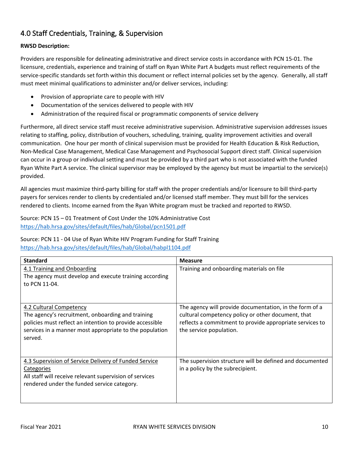## <span id="page-10-0"></span>4.0 Staff Credentials, Training, & Supervision

#### **RWSD Description:**

Providers are responsible for delineating administrative and direct service costs in accordance with PCN 15-01. The licensure, credentials, experience and training of staff on Ryan White Part A budgets must reflect requirements of the service-specific standards set forth within this document or reflect internal policies set by the agency. Generally, all staff must meet minimal qualifications to administer and/or deliver services, including:

- Provision of appropriate care to people with HIV
- Documentation of the services delivered to people with HIV
- Administration of the required fiscal or programmatic components of service delivery

Furthermore, all direct service staff must receive administrative supervision. Administrative supervision addresses issues relating to staffing, policy, distribution of vouchers, scheduling, training, quality improvement activities and overall communication. One hour per month of clinical supervision must be provided for Health Education & Risk Reduction, Non-Medical Case Management, Medical Case Management and Psychosocial Support direct staff. Clinical supervision can occur in a group or individual setting and must be provided by a third part who is not associated with the funded Ryan White Part A service. The clinical supervisor may be employed by the agency but must be impartial to the service(s) provided.

All agencies must maximize third-party billing for staff with the proper credentials and/or licensure to bill third-party payers for services render to clients by credentialed and/or licensed staff member. They must bill for the services rendered to clients. Income earned from the Ryan White program must be tracked and reported to RWSD.

Source: PCN 15 – 01 Treatment of Cost Under the 10% Administrative Cost <https://hab.hrsa.gov/sites/default/files/hab/Global/pcn1501.pdf>

#### Source: PCN 11 - 04 Use of Ryan White HIV Program Funding for Staff Training

<https://hab.hrsa.gov/sites/default/files/hab/Global/habpl1104.pdf>

| <b>Standard</b>                                                                                                                                                                                                | <b>Measure</b>                                                                                                                                                                                       |
|----------------------------------------------------------------------------------------------------------------------------------------------------------------------------------------------------------------|------------------------------------------------------------------------------------------------------------------------------------------------------------------------------------------------------|
| 4.1 Training and Onboarding<br>The agency must develop and execute training according<br>to PCN 11-04.                                                                                                         | Training and onboarding materials on file                                                                                                                                                            |
| 4.2 Cultural Competency<br>The agency's recruitment, onboarding and training<br>policies must reflect an intention to provide accessible<br>services in a manner most appropriate to the population<br>served. | The agency will provide documentation, in the form of a<br>cultural competency policy or other document, that<br>reflects a commitment to provide appropriate services to<br>the service population. |
| 4.3 Supervision of Service Delivery of Funded Service<br>Categories<br>All staff will receive relevant supervision of services<br>rendered under the funded service category.                                  | The supervision structure will be defined and documented<br>in a policy by the subrecipient.                                                                                                         |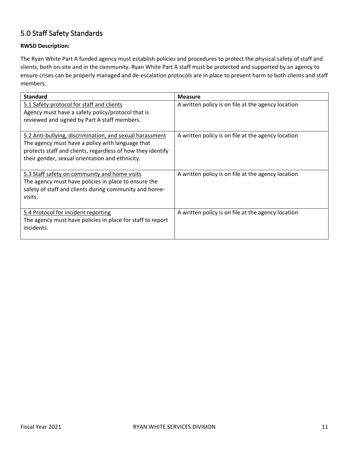## <span id="page-11-0"></span>5.0 Staff Safety Standards

#### **RWSD Description:**

The Ryan White Part A funded agency must establish policies and procedures to protect the physical safety of staff and clients, both on-site and in the community. Ryan White Part A staff must be protected and supported by an agency to ensure crises can be properly managed and de-escalation protocols are in place to prevent harm to both clients and staff members.

| <b>Standard</b>                                                                                                | <b>Measure</b>                                     |
|----------------------------------------------------------------------------------------------------------------|----------------------------------------------------|
| 5.1 Safety protocol for staff and clients                                                                      | A written policy is on file at the agency location |
| Agency must have a safety policy/protocol that is                                                              |                                                    |
| reviewed and signed by Part A staff members.                                                                   |                                                    |
|                                                                                                                |                                                    |
| 5.2 Anti-bullying, discrimination, and sexual harassment                                                       | A written policy is on file at the agency location |
| The agency must have a policy with language that                                                               |                                                    |
| protects staff and clients, regardless of how they identify<br>their gender, sexual orientation and ethnicity. |                                                    |
|                                                                                                                |                                                    |
| 5.3 Staff safety on community and home visits                                                                  | A written policy is on file at the agency location |
| The agency must have policies in place to ensure the                                                           |                                                    |
| safety of staff and clients during community and home-                                                         |                                                    |
| visits.                                                                                                        |                                                    |
|                                                                                                                |                                                    |
| 5.4 Protocol for incident reporting                                                                            | A written policy is on file at the agency location |
| The agency must have policies in place for staff to report                                                     |                                                    |
| incidents.                                                                                                     |                                                    |
|                                                                                                                |                                                    |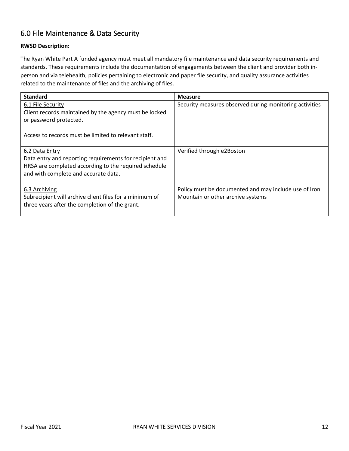## <span id="page-12-0"></span>6.0 File Maintenance & Data Security

#### **RWSD Description:**

The Ryan White Part A funded agency must meet all mandatory file maintenance and data security requirements and standards. These requirements include the documentation of engagements between the client and provider both inperson and via telehealth, policies pertaining to electronic and paper file security, and quality assurance activities related to the maintenance of files and the archiving of files.

| <b>Standard</b>                                         | <b>Measure</b>                                          |
|---------------------------------------------------------|---------------------------------------------------------|
| 6.1 File Security                                       | Security measures observed during monitoring activities |
| Client records maintained by the agency must be locked  |                                                         |
| or password protected.                                  |                                                         |
|                                                         |                                                         |
| Access to records must be limited to relevant staff.    |                                                         |
| 6.2 Data Entry                                          | Verified through e2Boston                               |
| Data entry and reporting requirements for recipient and |                                                         |
| HRSA are completed according to the required schedule   |                                                         |
| and with complete and accurate data.                    |                                                         |
|                                                         |                                                         |
| 6.3 Archiving                                           | Policy must be documented and may include use of Iron   |
| Subrecipient will archive client files for a minimum of | Mountain or other archive systems                       |
| three years after the completion of the grant.          |                                                         |
|                                                         |                                                         |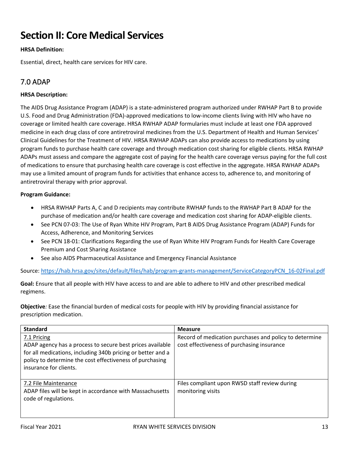## **Section II: Core Medical Services**

#### **HRSA Definition:**

Essential, direct, health care services for HIV care.

## <span id="page-13-0"></span>7.0 ADAP

#### **HRSA Description:**

The AIDS Drug Assistance Program (ADAP) is a state-administered program authorized under RWHAP Part B to provide U.S. Food and Drug Administration (FDA)-approved medications to low-income clients living with HIV who have no coverage or limited health care coverage. HRSA RWHAP ADAP formularies must include at least one FDA approved medicine in each drug class of core antiretroviral medicines from the U.S. Department of Health and Human Services' Clinical Guidelines for the Treatment of HIV. HRSA RWHAP ADAPs can also provide access to medications by using program funds to purchase health care coverage and through medication cost sharing for eligible clients. HRSA RWHAP ADAPs must assess and compare the aggregate cost of paying for the health care coverage versus paying for the full cost of medications to ensure that purchasing health care coverage is cost effective in the aggregate. HRSA RWHAP ADAPs may use a limited amount of program funds for activities that enhance access to, adherence to, and monitoring of antiretroviral therapy with prior approval.

#### **Program Guidance:**

- HRSA RWHAP Parts A, C and D recipients may contribute RWHAP funds to the RWHAP Part B ADAP for the purchase of medication and/or health care coverage and medication cost sharing for ADAP-eligible clients.
- See PCN 07-03: The Use of Ryan White HIV Program, Part B AIDS Drug Assistance Program (ADAP) Funds for Access, Adherence, and Monitoring Services
- See PCN 18-01: Clarifications Regarding the use of Ryan White HIV Program Funds for Health Care Coverage Premium and Cost Sharing Assistance
- See also AIDS Pharmaceutical Assistance and Emergency Financial Assistance

Source: [https://hab.hrsa.gov/sites/default/files/hab/program-grants-management/ServiceCategoryPCN\\_16-02Final.pdf](https://hab.hrsa.gov/sites/default/files/hab/program-grants-management/ServiceCategoryPCN_16-02Final.pdf)

**Goal:** Ensure that all people with HIV have access to and are able to adhere to HIV and other prescribed medical regimens.

**Objective***:* Ease the financial burden of medical costs for people with HIV by providing financial assistance for prescription medication.

| <b>Standard</b>                                                                                                                                                                                                               | <b>Measure</b>                                                                                       |
|-------------------------------------------------------------------------------------------------------------------------------------------------------------------------------------------------------------------------------|------------------------------------------------------------------------------------------------------|
| 7.1 Pricing<br>ADAP agency has a process to secure best prices available<br>for all medications, including 340b pricing or better and a<br>policy to determine the cost effectiveness of purchasing<br>insurance for clients. | Record of medication purchases and policy to determine<br>cost effectiveness of purchasing insurance |
| 7.2 File Maintenance<br>ADAP files will be kept in accordance with Massachusetts<br>code of regulations.                                                                                                                      | Files compliant upon RWSD staff review during<br>monitoring visits                                   |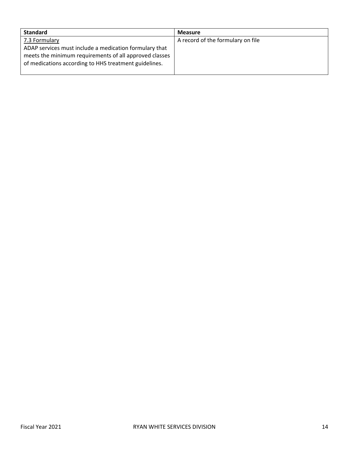| <b>Standard</b>                                                                                                                                                                            | <b>Measure</b>                    |
|--------------------------------------------------------------------------------------------------------------------------------------------------------------------------------------------|-----------------------------------|
| 7.3 Formulary<br>ADAP services must include a medication formulary that<br>meets the minimum requirements of all approved classes<br>of medications according to HHS treatment guidelines. | A record of the formulary on file |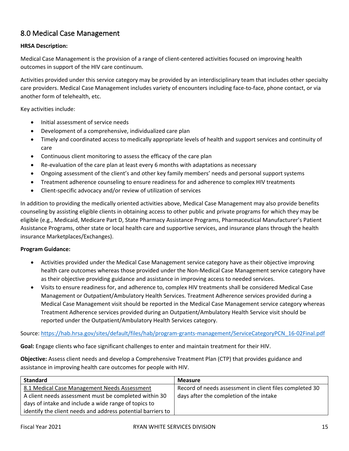## <span id="page-15-0"></span>8.0 Medical Case Management

#### **HRSA Description:**

Medical Case Management is the provision of a range of client-centered activities focused on improving health outcomes in support of the HIV care continuum.

Activities provided under this service category may be provided by an interdisciplinary team that includes other specialty care providers. Medical Case Management includes variety of encounters including face-to-face, phone contact, or via another form of telehealth, etc.

Key activities include:

- Initial assessment of service needs
- Development of a comprehensive, individualized care plan
- Timely and coordinated access to medically appropriate levels of health and support services and continuity of care
- Continuous client monitoring to assess the efficacy of the care plan
- Re-evaluation of the care plan at least every 6 months with adaptations as necessary
- Ongoing assessment of the client's and other key family members' needs and personal support systems
- Treatment adherence counseling to ensure readiness for and adherence to complex HIV treatments
- Client-specific advocacy and/or review of utilization of services

In addition to providing the medically oriented activities above, Medical Case Management may also provide benefits counseling by assisting eligible clients in obtaining access to other public and private programs for which they may be eligible (e.g., Medicaid, Medicare Part D, State Pharmacy Assistance Programs, Pharmaceutical Manufacturer's Patient Assistance Programs, other state or local health care and supportive services, and insurance plans through the health insurance Marketplaces/Exchanges).

#### **Program Guidance:**

- Activities provided under the Medical Case Management service category have as their objective improving health care outcomes whereas those provided under the Non-Medical Case Management service category have as their objective providing guidance and assistance in improving access to needed services.
- Visits to ensure readiness for, and adherence to, complex HIV treatments shall be considered Medical Case Management or Outpatient/Ambulatory Health Services. Treatment Adherence services provided during a Medical Case Management visit should be reported in the Medical Case Management service category whereas Treatment Adherence services provided during an Outpatient/Ambulatory Health Service visit should be reported under the Outpatient/Ambulatory Health Services category.

Source: [https://hab.hrsa.gov/sites/default/files/hab/program-grants-management/ServiceCategoryPCN\\_16-02Final.pdf](https://hab.hrsa.gov/sites/default/files/hab/program-grants-management/ServiceCategoryPCN_16-02Final.pdf)

**Goal:** Engage clients who face significant challenges to enter and maintain treatment for their HIV.

**Objective:** Assess client needs and develop a Comprehensive Treatment Plan (CTP) that provides guidance and assistance in improving health care outcomes for people with HIV.

| <b>Standard</b>                                             | <b>Measure</b>                                          |
|-------------------------------------------------------------|---------------------------------------------------------|
| 8.1 Medical Case Management Needs Assessment                | Record of needs assessment in client files completed 30 |
| A client needs assessment must be completed within 30       | days after the completion of the intake                 |
| days of intake and include a wide range of topics to        |                                                         |
| identify the client needs and address potential barriers to |                                                         |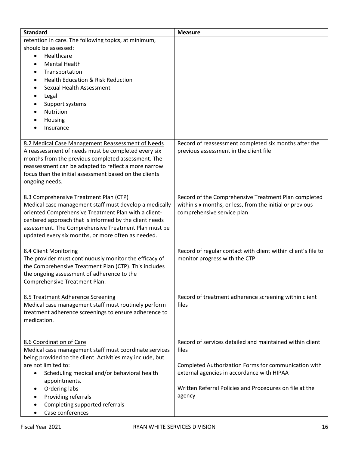| <b>Standard</b>                                                                 | <b>Measure</b>                                                                                 |
|---------------------------------------------------------------------------------|------------------------------------------------------------------------------------------------|
| retention in care. The following topics, at minimum,                            |                                                                                                |
| should be assessed:                                                             |                                                                                                |
| Healthcare<br>$\bullet$                                                         |                                                                                                |
| <b>Mental Health</b><br>Ġ                                                       |                                                                                                |
| Transportation<br>$\bullet$                                                     |                                                                                                |
| Health Education & Risk Reduction<br>$\bullet$                                  |                                                                                                |
| Sexual Health Assessment<br>Ġ                                                   |                                                                                                |
| Legal                                                                           |                                                                                                |
| Support systems                                                                 |                                                                                                |
| Nutrition                                                                       |                                                                                                |
| Housing                                                                         |                                                                                                |
| Insurance                                                                       |                                                                                                |
|                                                                                 |                                                                                                |
| 8.2 Medical Case Management Reassessment of Needs                               | Record of reassessment completed six months after the                                          |
| A reassessment of needs must be completed every six                             | previous assessment in the client file                                                         |
| months from the previous completed assessment. The                              |                                                                                                |
| reassessment can be adapted to reflect a more narrow                            |                                                                                                |
| focus than the initial assessment based on the clients                          |                                                                                                |
| ongoing needs.                                                                  |                                                                                                |
|                                                                                 |                                                                                                |
| 8.3 Comprehensive Treatment Plan (CTP)                                          | Record of the Comprehensive Treatment Plan completed                                           |
| Medical case management staff must develop a medically                          | within six months, or less, from the initial or previous                                       |
| oriented Comprehensive Treatment Plan with a client-                            | comprehensive service plan                                                                     |
| centered approach that is informed by the client needs                          |                                                                                                |
| assessment. The Comprehensive Treatment Plan must be                            |                                                                                                |
| updated every six months, or more often as needed.                              |                                                                                                |
|                                                                                 |                                                                                                |
| 8.4 Client Monitoring<br>The provider must continuously monitor the efficacy of | Record of regular contact with client within client's file to<br>monitor progress with the CTP |
| the Comprehensive Treatment Plan (CTP). This includes                           |                                                                                                |
| the ongoing assessment of adherence to the                                      |                                                                                                |
| Comprehensive Treatment Plan.                                                   |                                                                                                |
|                                                                                 |                                                                                                |
| 8.5 Treatment Adherence Screening                                               | Record of treatment adherence screening within client                                          |
| Medical case management staff must routinely perform                            | files                                                                                          |
| treatment adherence screenings to ensure adherence to                           |                                                                                                |
| medication.                                                                     |                                                                                                |
|                                                                                 |                                                                                                |
|                                                                                 |                                                                                                |
| 8.6 Coordination of Care                                                        | Record of services detailed and maintained within client                                       |
| Medical case management staff must coordinate services                          | files                                                                                          |
| being provided to the client. Activities may include, but                       |                                                                                                |
| are not limited to:                                                             | Completed Authorization Forms for communication with                                           |
| Scheduling medical and/or behavioral health<br>٠                                | external agencies in accordance with HIPAA                                                     |
| appointments.                                                                   |                                                                                                |
| Ordering labs<br>$\bullet$                                                      | Written Referral Policies and Procedures on file at the                                        |
| Providing referrals                                                             | agency                                                                                         |
| Completing supported referrals                                                  |                                                                                                |
| Case conferences                                                                |                                                                                                |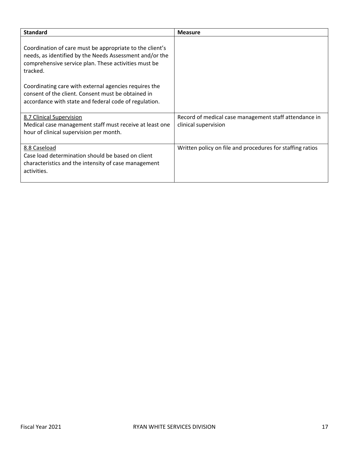| <b>Standard</b>                                                                                                                                                                         | <b>Measure</b>                                                                |
|-----------------------------------------------------------------------------------------------------------------------------------------------------------------------------------------|-------------------------------------------------------------------------------|
| Coordination of care must be appropriate to the client's<br>needs, as identified by the Needs Assessment and/or the<br>comprehensive service plan. These activities must be<br>tracked. |                                                                               |
| Coordinating care with external agencies requires the<br>consent of the client. Consent must be obtained in<br>accordance with state and federal code of regulation.                    |                                                                               |
| 8.7 Clinical Supervision<br>Medical case management staff must receive at least one<br>hour of clinical supervision per month.                                                          | Record of medical case management staff attendance in<br>clinical supervision |
| 8.8 Caseload<br>Case load determination should be based on client<br>characteristics and the intensity of case management<br>activities.                                                | Written policy on file and procedures for staffing ratios                     |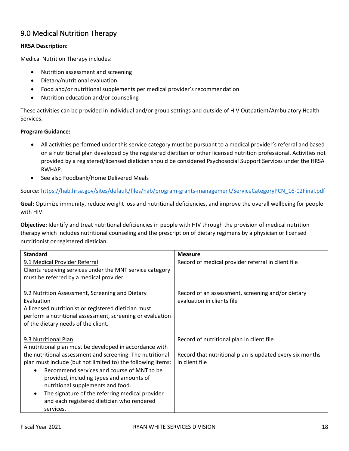## <span id="page-18-0"></span>9.0 Medical Nutrition Therapy

#### **HRSA Description:**

Medical Nutrition Therapy includes:

- Nutrition assessment and screening
- Dietary/nutritional evaluation
- Food and/or nutritional supplements per medical provider's recommendation
- Nutrition education and/or counseling

These activities can be provided in individual and/or group settings and outside of HIV Outpatient/Ambulatory Health Services.

#### **Program Guidance:**

- All activities performed under this service category must be pursuant to a medical provider's referral and based on a nutritional plan developed by the registered dietitian or other licensed nutrition professional. Activities not provided by a registered/licensed dietician should be considered Psychosocial Support Services under the HRSA RWHAP.
- See also Foodbank/Home Delivered Meals

Source: [https://hab.hrsa.gov/sites/default/files/hab/program-grants-management/ServiceCategoryPCN\\_16-02Final.pdf](https://hab.hrsa.gov/sites/default/files/hab/program-grants-management/ServiceCategoryPCN_16-02Final.pdf)

**Goal:** Optimize immunity, reduce weight loss and nutritional deficiencies, and improve the overall wellbeing for people with HIV.

**Objective:** Identify and treat nutritional deficiencies in people with HIV through the provision of medical nutrition therapy which includes nutritional counseling and the prescription of dietary regimens by a physician or licensed nutritionist or registered dietician.

| <b>Standard</b>                                              | <b>Measure</b>                                           |
|--------------------------------------------------------------|----------------------------------------------------------|
| 9.1 Medical Provider Referral                                | Record of medical provider referral in client file       |
| Clients receiving services under the MNT service category    |                                                          |
| must be referred by a medical provider.                      |                                                          |
|                                                              |                                                          |
| 9.2 Nutrition Assessment, Screening and Dietary              | Record of an assessment, screening and/or dietary        |
| Evaluation                                                   | evaluation in clients file                               |
| A licensed nutritionist or registered dietician must         |                                                          |
| perform a nutritional assessment, screening or evaluation    |                                                          |
| of the dietary needs of the client.                          |                                                          |
|                                                              |                                                          |
| 9.3 Nutritional Plan                                         | Record of nutritional plan in client file                |
| A nutritional plan must be developed in accordance with      |                                                          |
| the nutritional assessment and screening. The nutritional    | Record that nutritional plan is updated every six months |
| plan must include (but not limited to) the following items:  | in client file                                           |
| Recommend services and course of MNT to be<br>$\bullet$      |                                                          |
| provided, including types and amounts of                     |                                                          |
| nutritional supplements and food.                            |                                                          |
| The signature of the referring medical provider<br>$\bullet$ |                                                          |
| and each registered dietician who rendered                   |                                                          |
| services.                                                    |                                                          |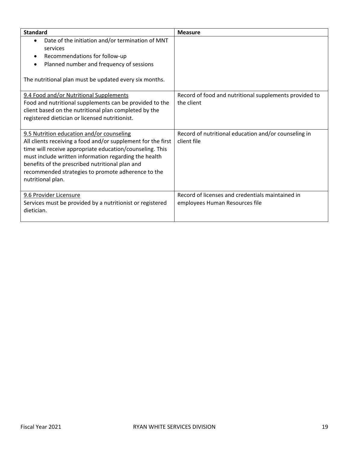| <b>Standard</b>                                                                                                                                                                                                                                                                                                                                              | <b>Measure</b>                                                                     |
|--------------------------------------------------------------------------------------------------------------------------------------------------------------------------------------------------------------------------------------------------------------------------------------------------------------------------------------------------------------|------------------------------------------------------------------------------------|
| Date of the initiation and/or termination of MNT<br>$\bullet$<br>services<br>Recommendations for follow-up<br>٠<br>Planned number and frequency of sessions<br>$\bullet$<br>The nutritional plan must be updated every six months.                                                                                                                           |                                                                                    |
| 9.4 Food and/or Nutritional Supplements<br>Food and nutritional supplements can be provided to the<br>client based on the nutritional plan completed by the<br>registered dietician or licensed nutritionist.                                                                                                                                                | Record of food and nutritional supplements provided to<br>the client               |
| 9.5 Nutrition education and/or counseling<br>All clients receiving a food and/or supplement for the first<br>time will receive appropriate education/counseling. This<br>must include written information regarding the health<br>benefits of the prescribed nutritional plan and<br>recommended strategies to promote adherence to the<br>nutritional plan. | Record of nutritional education and/or counseling in<br>client file                |
| 9.6 Provider Licensure<br>Services must be provided by a nutritionist or registered<br>dietician.                                                                                                                                                                                                                                                            | Record of licenses and credentials maintained in<br>employees Human Resources file |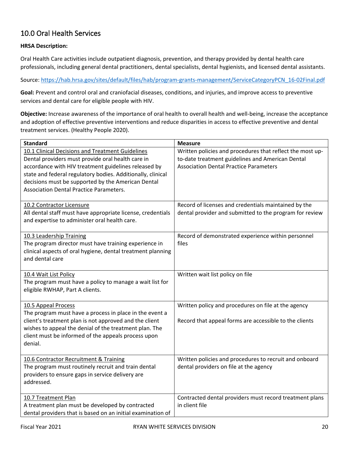## <span id="page-20-0"></span>10.0 Oral Health Services

#### **HRSA Description:**

Oral Health Care activities include outpatient diagnosis, prevention, and therapy provided by dental health care professionals, including general dental practitioners, dental specialists, dental hygienists, and licensed dental assistants.

Source: [https://hab.hrsa.gov/sites/default/files/hab/program-grants-management/ServiceCategoryPCN\\_16-02Final.pdf](https://hab.hrsa.gov/sites/default/files/hab/program-grants-management/ServiceCategoryPCN_16-02Final.pdf)

**Goal:** Prevent and control oral and craniofacial diseases, conditions, and injuries, and improve access to preventive services and dental care for eligible people with HIV.

**Objective:** Increase awareness of the importance of oral health to overall health and well-being, increase the acceptance and adoption of effective preventive interventions and reduce disparities in access to effective preventive and dental treatment services. (Healthy People 2020).

| <b>Standard</b>                                                                                         | <b>Measure</b>                                            |
|---------------------------------------------------------------------------------------------------------|-----------------------------------------------------------|
| 10.1 Clinical Decisions and Treatment Guidelines                                                        | Written policies and procedures that reflect the most up- |
| Dental providers must provide oral health care in                                                       | to-date treatment guidelines and American Dental          |
| accordance with HIV treatment guidelines released by                                                    | <b>Association Dental Practice Parameters</b>             |
| state and federal regulatory bodies. Additionally, clinical                                             |                                                           |
| decisions must be supported by the American Dental                                                      |                                                           |
| <b>Association Dental Practice Parameters.</b>                                                          |                                                           |
| 10.2 Contractor Licensure                                                                               | Record of licenses and credentials maintained by the      |
| All dental staff must have appropriate license, credentials                                             | dental provider and submitted to the program for review   |
| and expertise to administer oral health care.                                                           |                                                           |
|                                                                                                         |                                                           |
| 10.3 Leadership Training                                                                                | Record of demonstrated experience within personnel        |
| The program director must have training experience in                                                   | files                                                     |
| clinical aspects of oral hygiene, dental treatment planning                                             |                                                           |
| and dental care                                                                                         |                                                           |
| 10.4 Wait List Policy                                                                                   | Written wait list policy on file                          |
| The program must have a policy to manage a wait list for                                                |                                                           |
| eligible RWHAP, Part A clients.                                                                         |                                                           |
|                                                                                                         |                                                           |
| 10.5 Appeal Process                                                                                     | Written policy and procedures on file at the agency       |
| The program must have a process in place in the event a                                                 |                                                           |
| client's treatment plan is not approved and the client                                                  | Record that appeal forms are accessible to the clients    |
| wishes to appeal the denial of the treatment plan. The                                                  |                                                           |
| client must be informed of the appeals process upon                                                     |                                                           |
| denial.                                                                                                 |                                                           |
|                                                                                                         |                                                           |
| 10.6 Contractor Recruitment & Training                                                                  | Written policies and procedures to recruit and onboard    |
| The program must routinely recruit and train dental<br>providers to ensure gaps in service delivery are | dental providers on file at the agency                    |
| addressed.                                                                                              |                                                           |
|                                                                                                         |                                                           |
| 10.7 Treatment Plan                                                                                     | Contracted dental providers must record treatment plans   |
| A treatment plan must be developed by contracted                                                        | in client file                                            |
| dental providers that is based on an initial examination of                                             |                                                           |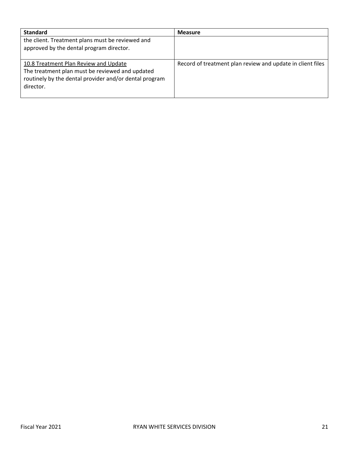| <b>Standard</b>                                                                                                                                                 | <b>Measure</b>                                             |
|-----------------------------------------------------------------------------------------------------------------------------------------------------------------|------------------------------------------------------------|
| the client. Treatment plans must be reviewed and<br>approved by the dental program director.                                                                    |                                                            |
|                                                                                                                                                                 |                                                            |
| 10.8 Treatment Plan Review and Update<br>The treatment plan must be reviewed and updated<br>routinely by the dental provider and/or dental program<br>director. | Record of treatment plan review and update in client files |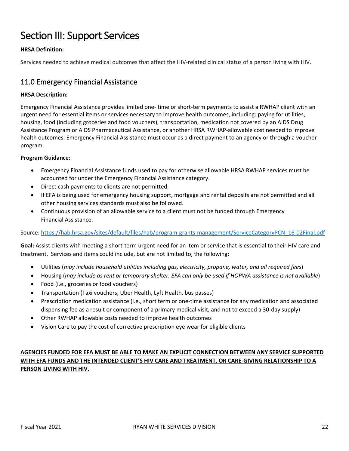## Section III: Support Services

#### **HRSA Definition:**

Services needed to achieve medical outcomes that affect the HIV-related clinical status of a person living with HIV.

#### <span id="page-22-0"></span>11.0 Emergency Financial Assistance

#### **HRSA Description:**

Emergency Financial Assistance provides limited one- time or short-term payments to assist a RWHAP client with an urgent need for essential items or services necessary to improve health outcomes, including: paying for utilities, housing, food (including groceries and food vouchers), transportation, medication not covered by an AIDS Drug Assistance Program or AIDS Pharmaceutical Assistance, or another HRSA RWHAP-allowable cost needed to improve health outcomes. Emergency Financial Assistance must occur as a direct payment to an agency or through a voucher program.

#### **Program Guidance:**

- Emergency Financial Assistance funds used to pay for otherwise allowable HRSA RWHAP services must be accounted for under the Emergency Financial Assistance category.
- Direct cash payments to clients are not permitted.
- If EFA is being used for emergency housing support, mortgage and rental deposits are not permitted and all other housing services standards must also be followed.
- Continuous provision of an allowable service to a client must not be funded through Emergency Financial Assistance.

#### Source: [https://hab.hrsa.gov/sites/default/files/hab/program-grants-management/ServiceCategoryPCN\\_16-02Final.pdf](https://hab.hrsa.gov/sites/default/files/hab/program-grants-management/ServiceCategoryPCN_16-02Final.pdf)

**Goal:** Assist clients with meeting a short-term urgent need for an item or service that is essential to their HIV care and treatment. Services and items could include, but are not limited to, the following:

- Utilities (*may include household utilities including gas, electricity, propane, water, and all required fees*)
- Housing (*may include as rent or temporary shelter. EFA can only be used if HOPWA assistance is not available*)
- Food (i.e., groceries or food vouchers)
- Transportation (Taxi vouchers, Uber Health, Lyft Health, bus passes)
- Prescription medication assistance (i.e., short term or one-time assistance for any medication and associated dispensing fee as a result or component of a primary medical visit, and not to exceed a 30-day supply)
- Other RWHAP allowable costs needed to improve health outcomes
- Vision Care to pay the cost of corrective prescription eye wear for eligible clients

#### **AGENCIES FUNDED FOR EFA MUST BE ABLE TO MAKE AN EXPLICIT CONNECTION BETWEEN ANY SERVICE SUPPORTED WITH EFA FUNDS AND THE INTENDED CLIENT'S HIV CARE AND TREATMENT, OR CARE-GIVING RELATIONSHIP TO A PERSON LIVING WITH HIV.**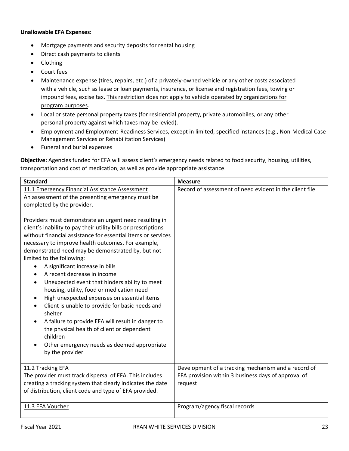#### **Unallowable EFA Expenses:**

- Mortgage payments and security deposits for rental housing
- Direct cash payments to clients
- Clothing
- Court fees
- Maintenance expense (tires, repairs, etc.) of a privately-owned vehicle or any other costs associated with a vehicle, such as lease or loan payments, insurance, or license and registration fees, towing or impound fees, excise tax. This restriction does not apply to vehicle operated by organizations for program purposes.
- Local or state personal property taxes (for residential property, private automobiles, or any other personal property against which taxes may be levied).
- Employment and Employment-Readiness Services, except in limited, specified instances (e.g., Non-Medical Case Management Services or Rehabilitation Services)
- Funeral and burial expenses

**Objective:** Agencies funded for EFA will assess client's emergency needs related to food security, housing, utilities, transportation and cost of medication, as well as provide appropriate assistance.

| <b>Standard</b>                                                                                                                                                                                                                                                                                                                                                                                                                                                                                                                                                                                                                                                                                                                                                                                                                                                                                                                                                                                                   | <b>Measure</b>                                                                                                        |
|-------------------------------------------------------------------------------------------------------------------------------------------------------------------------------------------------------------------------------------------------------------------------------------------------------------------------------------------------------------------------------------------------------------------------------------------------------------------------------------------------------------------------------------------------------------------------------------------------------------------------------------------------------------------------------------------------------------------------------------------------------------------------------------------------------------------------------------------------------------------------------------------------------------------------------------------------------------------------------------------------------------------|-----------------------------------------------------------------------------------------------------------------------|
| 11.1 Emergency Financial Assistance Assessment<br>An assessment of the presenting emergency must be<br>completed by the provider.<br>Providers must demonstrate an urgent need resulting in<br>client's inability to pay their utility bills or prescriptions<br>without financial assistance for essential items or services<br>necessary to improve health outcomes. For example,<br>demonstrated need may be demonstrated by, but not<br>limited to the following:<br>A significant increase in bills<br>$\bullet$<br>A recent decrease in income<br>Unexpected event that hinders ability to meet<br>$\bullet$<br>housing, utility, food or medication need<br>High unexpected expenses on essential items<br>$\bullet$<br>Client is unable to provide for basic needs and<br>$\bullet$<br>shelter<br>A failure to provide EFA will result in danger to<br>$\bullet$<br>the physical health of client or dependent<br>children<br>Other emergency needs as deemed appropriate<br>$\bullet$<br>by the provider | Record of assessment of need evident in the client file                                                               |
| 11.2 Tracking EFA<br>The provider must track dispersal of EFA. This includes<br>creating a tracking system that clearly indicates the date<br>of distribution, client code and type of EFA provided.                                                                                                                                                                                                                                                                                                                                                                                                                                                                                                                                                                                                                                                                                                                                                                                                              | Development of a tracking mechanism and a record of<br>EFA provision within 3 business days of approval of<br>request |
| 11.3 EFA Voucher                                                                                                                                                                                                                                                                                                                                                                                                                                                                                                                                                                                                                                                                                                                                                                                                                                                                                                                                                                                                  | Program/agency fiscal records                                                                                         |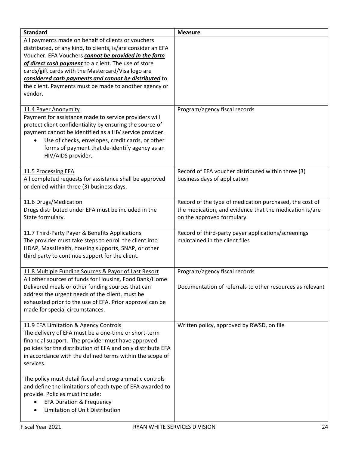| <b>Standard</b>                                                                                                                                                                                                                                                                                                                                                                                                        | <b>Measure</b>                                                                                                                                  |
|------------------------------------------------------------------------------------------------------------------------------------------------------------------------------------------------------------------------------------------------------------------------------------------------------------------------------------------------------------------------------------------------------------------------|-------------------------------------------------------------------------------------------------------------------------------------------------|
| All payments made on behalf of clients or vouchers<br>distributed, of any kind, to clients, is/are consider an EFA<br>Voucher. EFA Vouchers cannot be provided in the form<br>of direct cash payment to a client. The use of store<br>cards/gift cards with the Mastercard/Visa logo are<br>considered cash payments and cannot be distributed to<br>the client. Payments must be made to another agency or<br>vendor. |                                                                                                                                                 |
| 11.4 Payer Anonymity<br>Payment for assistance made to service providers will<br>protect client confidentiality by ensuring the source of<br>payment cannot be identified as a HIV service provider.<br>Use of checks, envelopes, credit cards, or other<br>forms of payment that de-identify agency as an<br>HIV/AIDS provider.                                                                                       | Program/agency fiscal records                                                                                                                   |
| 11.5 Processing EFA<br>All completed requests for assistance shall be approved<br>or denied within three (3) business days.                                                                                                                                                                                                                                                                                            | Record of EFA voucher distributed within three (3)<br>business days of application                                                              |
| 11.6 Drugs/Medication<br>Drugs distributed under EFA must be included in the<br>State formulary.                                                                                                                                                                                                                                                                                                                       | Record of the type of medication purchased, the cost of<br>the medication, and evidence that the medication is/are<br>on the approved formulary |
| 11.7 Third-Party Payer & Benefits Applications<br>The provider must take steps to enroll the client into<br>HDAP, MassHealth, housing supports, SNAP, or other<br>third party to continue support for the client.                                                                                                                                                                                                      | Record of third-party payer applications/screenings<br>maintained in the client files                                                           |
| 11.8 Multiple Funding Sources & Payor of Last Resort<br>All other sources of funds for Housing, Food Bank/Home<br>Delivered meals or other funding sources that can<br>address the urgent needs of the client, must be<br>exhausted prior to the use of EFA. Prior approval can be<br>made for special circumstances.                                                                                                  | Program/agency fiscal records<br>Documentation of referrals to other resources as relevant                                                      |
| 11.9 EFA Limitation & Agency Controls<br>The delivery of EFA must be a one-time or short-term<br>financial support. The provider must have approved<br>policies for the distribution of EFA and only distribute EFA<br>in accordance with the defined terms within the scope of<br>services.                                                                                                                           | Written policy, approved by RWSD, on file                                                                                                       |
| The policy must detail fiscal and programmatic controls<br>and define the limitations of each type of EFA awarded to<br>provide. Policies must include:<br><b>EFA Duration &amp; Frequency</b><br>Limitation of Unit Distribution                                                                                                                                                                                      |                                                                                                                                                 |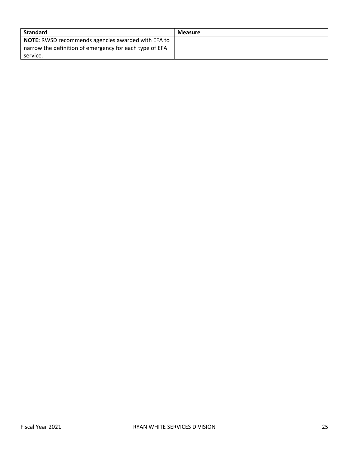<span id="page-25-0"></span>

| Standard                                                  | <b>Measure</b> |
|-----------------------------------------------------------|----------------|
| <b>NOTE:</b> RWSD recommends agencies awarded with EFA to |                |
| narrow the definition of emergency for each type of EFA   |                |
| service.                                                  |                |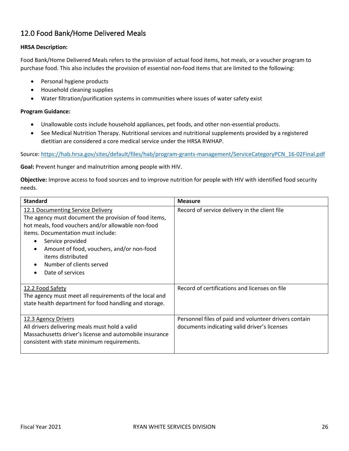## 12.0 Food Bank/Home Delivered Meals

#### **HRSA Description:**

Food Bank/Home Delivered Meals refers to the provision of actual food items, hot meals, or a voucher program to purchase food. This also includes the provision of essential non-food items that are limited to the following:

- Personal hygiene products
- Household cleaning supplies
- Water filtration/purification systems in communities where issues of water safety exist

#### **Program Guidance:**

- Unallowable costs include household appliances, pet foods, and other non-essential products.
- See Medical Nutrition Therapy. Nutritional services and nutritional supplements provided by a registered dietitian are considered a core medical service under the HRSA RWHAP.

Source: [https://hab.hrsa.gov/sites/default/files/hab/program-grants-management/ServiceCategoryPCN\\_16-02Final.pdf](https://hab.hrsa.gov/sites/default/files/hab/program-grants-management/ServiceCategoryPCN_16-02Final.pdf)

**Goal:** Prevent hunger and malnutrition among people with HIV.

**Objective:** Improve access to food sources and to improve nutrition for people with HIV with identified food security needs.

| <b>Standard</b>                                                                                                                                                                                                                                                                                                                                                                  | <b>Measure</b>                                                                                        |
|----------------------------------------------------------------------------------------------------------------------------------------------------------------------------------------------------------------------------------------------------------------------------------------------------------------------------------------------------------------------------------|-------------------------------------------------------------------------------------------------------|
| 12.1 Documenting Service Delivery<br>The agency must document the provision of food items,<br>hot meals, food vouchers and/or allowable non-food<br>items. Documentation must include:<br>Service provided<br>$\bullet$<br>Amount of food, vouchers, and/or non-food<br>$\bullet$<br>items distributed<br>Number of clients served<br>$\bullet$<br>Date of services<br>$\bullet$ | Record of service delivery in the client file                                                         |
| 12.2 Food Safety<br>The agency must meet all requirements of the local and<br>state health department for food handling and storage.                                                                                                                                                                                                                                             | Record of certifications and licenses on file                                                         |
| 12.3 Agency Drivers<br>All drivers delivering meals must hold a valid<br>Massachusetts driver's license and automobile insurance<br>consistent with state minimum requirements.                                                                                                                                                                                                  | Personnel files of paid and volunteer drivers contain<br>documents indicating valid driver's licenses |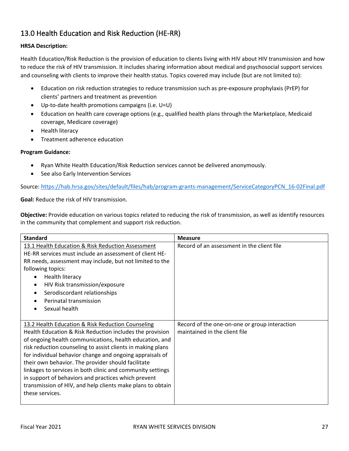## <span id="page-27-0"></span>13.0 Health Education and Risk Reduction (HE-RR)

#### **HRSA Description:**

Health Education/Risk Reduction is the provision of education to clients living with HIV about HIV transmission and how to reduce the risk of HIV transmission. It includes sharing information about medical and psychosocial support services and counseling with clients to improve their health status. Topics covered may include (but are not limited to):

- Education on risk reduction strategies to reduce transmission such as pre-exposure prophylaxis (PrEP) for clients' partners and treatment as prevention
- Up-to-date health promotions campaigns (i.e. U=U)
- Education on health care coverage options (e.g., qualified health plans through the Marketplace, Medicaid coverage, Medicare coverage)
- Health literacy
- Treatment adherence education

#### **Program Guidance:**

- Ryan White Health Education/Risk Reduction services cannot be delivered anonymously.
- See also Early Intervention Services

Source: [https://hab.hrsa.gov/sites/default/files/hab/program-grants-management/ServiceCategoryPCN\\_16-02Final.pdf](https://hab.hrsa.gov/sites/default/files/hab/program-grants-management/ServiceCategoryPCN_16-02Final.pdf)

**Goal:** Reduce the risk of HIV transmission.

**Objective:** Provide education on various topics related to reducing the risk of transmission, as well as identify resources in the community that complement and support risk reduction.

| <b>Standard</b>                                             | <b>Measure</b>                                |
|-------------------------------------------------------------|-----------------------------------------------|
| 13.1 Health Education & Risk Reduction Assessment           | Record of an assessment in the client file    |
| HE-RR services must include an assessment of client HE-     |                                               |
| RR needs, assessment may include, but not limited to the    |                                               |
| following topics:                                           |                                               |
| Health literacy<br>$\bullet$                                |                                               |
| HIV Risk transmission/exposure<br>$\bullet$                 |                                               |
| Serodiscordant relationships                                |                                               |
| Perinatal transmission                                      |                                               |
| Sexual health                                               |                                               |
|                                                             |                                               |
| 13.2 Health Education & Risk Reduction Counseling           | Record of the one-on-one or group interaction |
| Health Education & Risk Reduction includes the provision    | maintained in the client file                 |
| of ongoing health communications, health education, and     |                                               |
| risk reduction counseling to assist clients in making plans |                                               |
| for individual behavior change and ongoing appraisals of    |                                               |
| their own behavior. The provider should facilitate          |                                               |
| linkages to services in both clinic and community settings  |                                               |
| in support of behaviors and practices which prevent         |                                               |
| transmission of HIV, and help clients make plans to obtain  |                                               |
| these services.                                             |                                               |
|                                                             |                                               |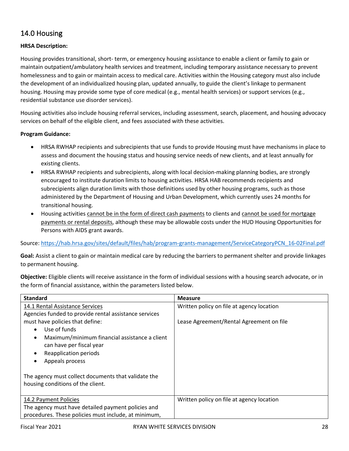## <span id="page-28-0"></span>14.0 Housing

#### **HRSA Description:**

Housing provides transitional, short- term, or emergency housing assistance to enable a client or family to gain or maintain outpatient/ambulatory health services and treatment, including temporary assistance necessary to prevent homelessness and to gain or maintain access to medical care. Activities within the Housing category must also include the development of an individualized housing plan, updated annually, to guide the client's linkage to permanent housing. Housing may provide some type of core medical (e.g., mental health services) or support services (e.g., residential substance use disorder services).

Housing activities also include housing referral services, including assessment, search, placement, and housing advocacy services on behalf of the eligible client, and fees associated with these activities.

#### **Program Guidance:**

- HRSA RWHAP recipients and subrecipients that use funds to provide Housing must have mechanisms in place to assess and document the housing status and housing service needs of new clients, and at least annually for existing clients.
- HRSA RWHAP recipients and subrecipients, along with local decision-making planning bodies, are strongly encouraged to institute duration limits to housing activities. HRSA HAB recommends recipients and subrecipients align duration limits with those definitions used by other housing programs, such as those administered by the Department of Housing and Urban Development, which currently uses 24 months for transitional housing.
- Housing activities cannot be in the form of direct cash payments to clients and cannot be used for mortgage payments or rental deposits, although these may be allowable costs under the HUD Housing Opportunities for Persons with AIDS grant awards.

Source: [https://hab.hrsa.gov/sites/default/files/hab/program-grants-management/ServiceCategoryPCN\\_16-02Final.pdf](https://hab.hrsa.gov/sites/default/files/hab/program-grants-management/ServiceCategoryPCN_16-02Final.pdf)

**Goal:** Assist a client to gain or maintain medical care by reducing the barriers to permanent shelter and provide linkages to permanent housing.

**Objective:** Eligible clients will receive assistance in the form of individual sessions with a housing search advocate, or in the form of financial assistance, within the parameters listed below.

| <b>Standard</b>                                            | <b>Measure</b>                            |
|------------------------------------------------------------|-------------------------------------------|
| 14.1 Rental Assistance Services                            | Written policy on file at agency location |
| Agencies funded to provide rental assistance services      |                                           |
| must have policies that define:                            | Lease Agreement/Rental Agreement on file  |
| Use of funds<br>$\bullet$                                  |                                           |
| Maximum/minimum financial assistance a client<br>$\bullet$ |                                           |
| can have per fiscal year                                   |                                           |
| Reapplication periods<br>$\bullet$                         |                                           |
| Appeals process<br>$\bullet$                               |                                           |
|                                                            |                                           |
| The agency must collect documents that validate the        |                                           |
| housing conditions of the client.                          |                                           |
|                                                            |                                           |
| 14.2 Payment Policies                                      | Written policy on file at agency location |
| The agency must have detailed payment policies and         |                                           |
| procedures. These policies must include, at minimum,       |                                           |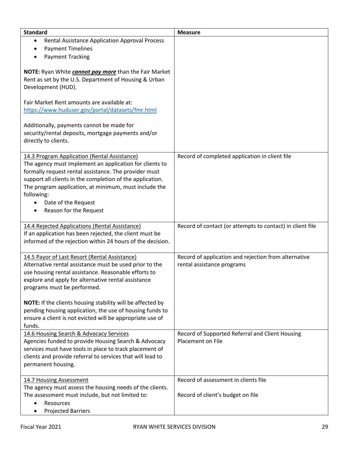| <b>Standard</b>                                                                                                                                                                                                                                                                                                                                                    | <b>Measure</b>                                                                     |
|--------------------------------------------------------------------------------------------------------------------------------------------------------------------------------------------------------------------------------------------------------------------------------------------------------------------------------------------------------------------|------------------------------------------------------------------------------------|
| Rental Assistance Application Approval Process<br>٠                                                                                                                                                                                                                                                                                                                |                                                                                    |
| <b>Payment Timelines</b><br>٠                                                                                                                                                                                                                                                                                                                                      |                                                                                    |
| <b>Payment Tracking</b><br>٠                                                                                                                                                                                                                                                                                                                                       |                                                                                    |
| NOTE: Ryan White <i>cannot pay more</i> than the Fair Market<br>Rent as set by the U.S. Department of Housing & Urban<br>Development (HUD).                                                                                                                                                                                                                        |                                                                                    |
| Fair Market Rent amounts are available at:<br>https://www.huduser.gov/portal/datasets/fmr.html<br>Additionally, payments cannot be made for<br>security/rental deposits, mortgage payments and/or                                                                                                                                                                  |                                                                                    |
| directly to clients.                                                                                                                                                                                                                                                                                                                                               |                                                                                    |
| 14.3 Program Application (Rental Assistance)<br>The agency must implement an application for clients to<br>formally request rental assistance. The provider must<br>support all clients in the completion of the application.<br>The program application, at minimum, must include the<br>following:<br>Date of the Request<br>$\bullet$<br>Reason for the Request | Record of completed application in client file                                     |
| 14.4 Rejected Applications (Rental Assistance)<br>If an application has been rejected, the client must be<br>informed of the rejection within 24 hours of the decision.                                                                                                                                                                                            | Record of contact (or attempts to contact) in client file                          |
| 14.5 Payor of Last Resort (Rental Assistance)<br>Alternative rental assistance must be used prior to the<br>use housing rental assistance. Reasonable efforts to<br>explore and apply for alternative rental assistance<br>programs must be performed.                                                                                                             | Record of application and rejection from alternative<br>rental assistance programs |
| NOTE: If the clients housing stability will be affected by<br>pending housing application, the use of housing funds to<br>ensure a client is not evicted will be appropriate use of<br>funds.                                                                                                                                                                      |                                                                                    |
| 14.6 Housing Search & Advocacy Services<br>Agencies funded to provide Housing Search & Advocacy                                                                                                                                                                                                                                                                    | Record of Supported Referral and Client Housing<br>Placement on File               |
| services must have tools in place to track placement of<br>clients and provide referral to services that will lead to<br>permanent housing.                                                                                                                                                                                                                        |                                                                                    |
| 14.7 Housing Assessment                                                                                                                                                                                                                                                                                                                                            | Record of assessment in clients file                                               |
| The agency must assess the housing needs of the clients.                                                                                                                                                                                                                                                                                                           |                                                                                    |
| The assessment must include, but not limited to:                                                                                                                                                                                                                                                                                                                   | Record of client's budget on file                                                  |
| Resources                                                                                                                                                                                                                                                                                                                                                          |                                                                                    |
| <b>Projected Barriers</b><br>٠                                                                                                                                                                                                                                                                                                                                     |                                                                                    |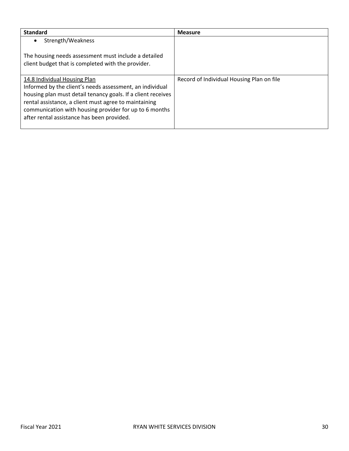| <b>Standard</b>                                                                                                                                                                                                                                                                                                           | <b>Measure</b>                            |
|---------------------------------------------------------------------------------------------------------------------------------------------------------------------------------------------------------------------------------------------------------------------------------------------------------------------------|-------------------------------------------|
| Strength/Weakness<br>$\bullet$                                                                                                                                                                                                                                                                                            |                                           |
| The housing needs assessment must include a detailed<br>client budget that is completed with the provider.                                                                                                                                                                                                                |                                           |
| 14.8 Individual Housing Plan<br>Informed by the client's needs assessment, an individual<br>housing plan must detail tenancy goals. If a client receives<br>rental assistance, a client must agree to maintaining<br>communication with housing provider for up to 6 months<br>after rental assistance has been provided. | Record of Individual Housing Plan on file |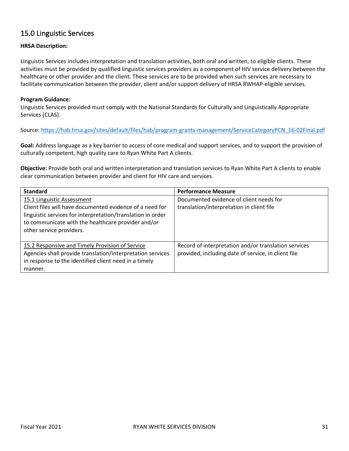### <span id="page-31-0"></span>15.0 Linguistic Services

#### **HRSA Description:**

Linguistic Services includes interpretation and translation activities, both oral and written, to eligible clients. These activities must be provided by qualified linguistic services providers as a component of HIV service delivery between the healthcare or other provider and the client. These services are to be provided when such services are necessary to facilitate communication between the provider, client and/or support delivery of HRSA RWHAP-eligible services.

#### **Program Guidance:**

Linguistic Services provided must comply with the National Standards for Culturally and Linguistically Appropriate Services (CLAS).

Source: [https://hab.hrsa.gov/sites/default/files/hab/program-grants-management/ServiceCategoryPCN\\_16-02Final.pdf](https://hab.hrsa.gov/sites/default/files/hab/program-grants-management/ServiceCategoryPCN_16-02Final.pdf)

**Goal:** Address language as a key barrier to access of core medical and support services, and to support the provision of culturally competent, high quality care to Ryan White Part A clients.

**Objective:** Provide both oral and written interpretation and translation services to Ryan White Part A clients to enable clear communication between provider and client for HIV care and services.

| <b>Standard</b>                                                                                                                                                                                                                         | <b>Performance Measure</b>                                                                                  |
|-----------------------------------------------------------------------------------------------------------------------------------------------------------------------------------------------------------------------------------------|-------------------------------------------------------------------------------------------------------------|
| 15.1 Linguistic Assessment<br>Client files will have documented evidence of a need for<br>linguistic services for interpretation/translation in order<br>to communicate with the healthcare provider and/or<br>other service providers. | Documented evidence of client needs for<br>translation/interpretation in client file                        |
| 15.2 Responsive and Timely Provision of Service<br>Agencies shall provide translation/interpretation services<br>in response to the identified client need in a timely<br>manner.                                                       | Record of interpretation and/or translation services<br>provided, including date of service, in client file |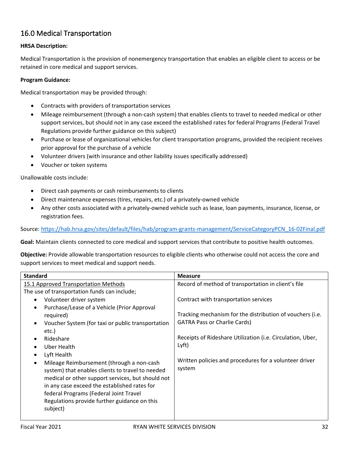## <span id="page-32-0"></span>16.0 Medical Transportation

#### **HRSA Description:**

Medical Transportation is the provision of nonemergency transportation that enables an eligible client to access or be retained in core medical and support services.

#### **Program Guidance:**

Medical transportation may be provided through:

- Contracts with providers of transportation services
- Mileage reimbursement (through a non-cash system) that enables clients to travel to needed medical or other support services, but should not in any case exceed the established rates for federal Programs (Federal Travel Regulations provide further guidance on this subject)
- Purchase or lease of organizational vehicles for client transportation programs, provided the recipient receives prior approval for the purchase of a vehicle
- Volunteer drivers (with insurance and other liability issues specifically addressed)
- Voucher or token systems

Unallowable costs include:

- Direct cash payments or cash reimbursements to clients
- Direct maintenance expenses (tires, repairs, etc.) of a privately-owned vehicle
- Any other costs associated with a privately-owned vehicle such as lease, loan payments, insurance, license, or registration fees.

Source: [https://hab.hrsa.gov/sites/default/files/hab/program-grants-management/ServiceCategoryPCN\\_16-02Final.pdf](https://hab.hrsa.gov/sites/default/files/hab/program-grants-management/ServiceCategoryPCN_16-02Final.pdf)

**Goal:** Maintain clients connected to core medical and support services that contribute to positive health outcomes.

**Objective:** Provide allowable transportation resources to eligible clients who otherwise could not access the core and support services to meet medical and support needs.

| <b>Standard</b>                                                | <b>Measure</b>                                             |
|----------------------------------------------------------------|------------------------------------------------------------|
| 15.1 Approved Transportation Methods                           | Record of method of transportation in client's file        |
| The use of transportation funds can include;                   |                                                            |
| Volunteer driver system<br>$\bullet$                           | Contract with transportation services                      |
| Purchase/Lease of a Vehicle (Prior Approval<br>$\bullet$       |                                                            |
| required)                                                      | Tracking mechanism for the distribution of vouchers (i.e.  |
| Voucher System (for taxi or public transportation<br>$\bullet$ | <b>GATRA Pass or Charlie Cards)</b>                        |
| etc.)                                                          |                                                            |
| Rideshare<br>$\bullet$                                         | Receipts of Rideshare Utilization (i.e. Circulation, Uber, |
| Uber Health<br>$\bullet$                                       | Lyft)                                                      |
| Lyft Health<br>$\bullet$                                       |                                                            |
| Mileage Reimbursement (through a non-cash<br>$\bullet$         | Written policies and procedures for a volunteer driver     |
| system) that enables clients to travel to needed               | system                                                     |
| medical or other support services, but should not              |                                                            |
| in any case exceed the established rates for                   |                                                            |
| federal Programs (Federal Joint Travel                         |                                                            |
| Regulations provide further guidance on this                   |                                                            |
| subject)                                                       |                                                            |
|                                                                |                                                            |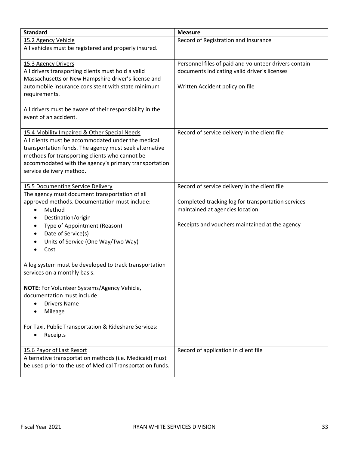| <b>Standard</b>                                                                                           | <b>Measure</b>                                        |
|-----------------------------------------------------------------------------------------------------------|-------------------------------------------------------|
| 15.2 Agency Vehicle                                                                                       | Record of Registration and Insurance                  |
| All vehicles must be registered and properly insured.                                                     |                                                       |
| 15.3 Agency Drivers                                                                                       | Personnel files of paid and volunteer drivers contain |
| All drivers transporting clients must hold a valid                                                        | documents indicating valid driver's licenses          |
| Massachusetts or New Hampshire driver's license and<br>automobile insurance consistent with state minimum | Written Accident policy on file                       |
| requirements.                                                                                             |                                                       |
|                                                                                                           |                                                       |
| All drivers must be aware of their responsibility in the                                                  |                                                       |
| event of an accident.                                                                                     |                                                       |
| 15.4 Mobility Impaired & Other Special Needs                                                              | Record of service delivery in the client file         |
| All clients must be accommodated under the medical                                                        |                                                       |
| transportation funds. The agency must seek alternative<br>methods for transporting clients who cannot be  |                                                       |
| accommodated with the agency's primary transportation                                                     |                                                       |
| service delivery method.                                                                                  |                                                       |
|                                                                                                           |                                                       |
| 15.5 Documenting Service Delivery<br>The agency must document transportation of all                       | Record of service delivery in the client file         |
| approved methods. Documentation must include:                                                             | Completed tracking log for transportation services    |
| Method<br>$\bullet$                                                                                       | maintained at agencies location                       |
| Destination/origin<br>٠                                                                                   |                                                       |
| Type of Appointment (Reason)<br>٠                                                                         | Receipts and vouchers maintained at the agency        |
| Date of Service(s)<br>٠                                                                                   |                                                       |
| Units of Service (One Way/Two Way)<br>$\bullet$<br>Cost                                                   |                                                       |
|                                                                                                           |                                                       |
| A log system must be developed to track transportation                                                    |                                                       |
| services on a monthly basis.                                                                              |                                                       |
| NOTE: For Volunteer Systems/Agency Vehicle,                                                               |                                                       |
| documentation must include:                                                                               |                                                       |
| <b>Drivers Name</b><br>$\bullet$                                                                          |                                                       |
| Mileage                                                                                                   |                                                       |
| For Taxi, Public Transportation & Rideshare Services:                                                     |                                                       |
| Receipts                                                                                                  |                                                       |
| 15.6 Payor of Last Resort                                                                                 | Record of application in client file                  |
| Alternative transportation methods (i.e. Medicaid) must                                                   |                                                       |
| be used prior to the use of Medical Transportation funds.                                                 |                                                       |
|                                                                                                           |                                                       |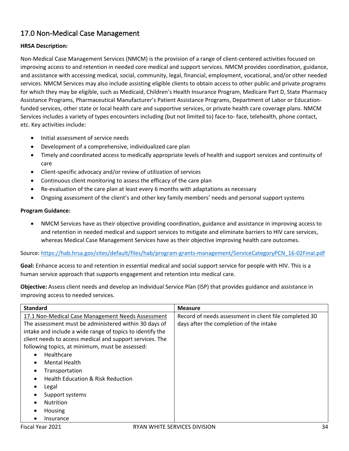## <span id="page-34-0"></span>17.0 Non-Medical Case Management

#### **HRSA Description:**

Non-Medical Case Management Services (NMCM) is the provision of a range of client-centered activities focused on improving access to and retention in needed core medical and support services. NMCM provides coordination, guidance, and assistance with accessing medical, social, community, legal, financial, employment, vocational, and/or other needed services. NMCM Services may also include assisting eligible clients to obtain access to other public and private programs for which they may be eligible, such as Medicaid, Children's Health Insurance Program, Medicare Part D, State Pharmacy Assistance Programs, Pharmaceutical Manufacturer's Patient Assistance Programs, Department of Labor or Educationfunded services, other state or local health care and supportive services, or private health care coverage plans. NMCM Services includes a variety of types encounters including (but not limited to) face-to- face, telehealth, phone contact, etc. Key activities include:

- Initial assessment of service needs
- Development of a comprehensive, individualized care plan
- Timely and coordinated access to medically appropriate levels of health and support services and continuity of care
- Client-specific advocacy and/or review of utilization of services
- Continuous client monitoring to assess the efficacy of the care plan
- Re-evaluation of the care plan at least every 6 months with adaptations as necessary
- Ongoing assessment of the client's and other key family members' needs and personal support systems

#### **Program Guidance:**

• NMCM Services have as their objective providing coordination, guidance and assistance in improving access to and retention in needed medical and support services to mitigate and eliminate barriers to HIV care services, whereas Medical Case Management Services have as their objective improving health care outcomes.

#### Source: [https://hab.hrsa.gov/sites/default/files/hab/program-grants-management/ServiceCategoryPCN\\_16-02Final.pdf](https://hab.hrsa.gov/sites/default/files/hab/program-grants-management/ServiceCategoryPCN_16-02Final.pdf)

**Goal:** Enhance access to and retention in essential medical and social support service for people with HIV. This is a human service approach that supports engagement and retention into medical care.

**Objective:** Assess client needs and develop an Individual Service Plan (ISP) that provides guidance and assistance in improving access to needed services.

| <b>Standard</b>                                           | <b>Measure</b>                                         |
|-----------------------------------------------------------|--------------------------------------------------------|
| 17.1 Non-Medical Case Management Needs Assessment         | Record of needs assessment in client file completed 30 |
| The assessment must be administered within 30 days of     | days after the completion of the intake                |
| intake and include a wide range of topics to identify the |                                                        |
| client needs to access medical and support services. The  |                                                        |
| following topics, at minimum, must be assessed:           |                                                        |
| Healthcare<br>$\bullet$                                   |                                                        |
| Mental Health<br>$\bullet$                                |                                                        |
| Transportation<br>٠                                       |                                                        |
| <b>Health Education &amp; Risk Reduction</b>              |                                                        |
| Legal                                                     |                                                        |
| Support systems<br>٠                                      |                                                        |
| <b>Nutrition</b>                                          |                                                        |
| Housing<br>$\bullet$                                      |                                                        |
| Insurance                                                 |                                                        |
| Fiscal Year 2021<br>RYAN WHITE SERVICES DIVISION          | 34                                                     |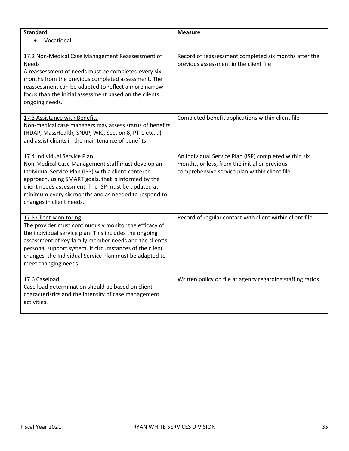| <b>Standard</b>                                                                                                                                                                                                                                                                                                                                    | <b>Measure</b>                                                                                                                                          |
|----------------------------------------------------------------------------------------------------------------------------------------------------------------------------------------------------------------------------------------------------------------------------------------------------------------------------------------------------|---------------------------------------------------------------------------------------------------------------------------------------------------------|
| Vocational<br>$\bullet$                                                                                                                                                                                                                                                                                                                            |                                                                                                                                                         |
| 17.2 Non-Medical Case Management Reassessment of<br><b>Needs</b><br>A reassessment of needs must be completed every six<br>months from the previous completed assessment. The<br>reassessment can be adapted to reflect a more narrow<br>focus than the initial assessment based on the clients<br>ongoing needs.                                  | Record of reassessment completed six months after the<br>previous assessment in the client file                                                         |
| 17.3 Assistance with Benefits<br>Non-medical case managers may assess status of benefits<br>(HDAP, MassHealth, SNAP, WIC, Section 8, PT-1 etc)<br>and assist clients in the maintenance of benefits.                                                                                                                                               | Completed benefit applications within client file                                                                                                       |
| 17.4 Individual Service Plan<br>Non-Medical Case Management staff must develop an<br>Individual Service Plan (ISP) with a client-centered<br>approach, using SMART goals, that is informed by the<br>client needs assessment. The ISP must be updated at<br>minimum every six months and as needed to respond to<br>changes in client needs.       | An Individual Service Plan (ISP) completed within six<br>months, or less, from the initial or previous<br>comprehensive service plan within client file |
| 17.5 Client Monitoring<br>The provider must continuously monitor the efficacy of<br>the individual service plan. This includes the ongoing<br>assessment of key family member needs and the client's<br>personal support system. If circumstances of the client<br>changes, the Individual Service Plan must be adapted to<br>meet changing needs. | Record of regular contact with client within client file                                                                                                |
| 17.6 Caseload<br>Case load determination should be based on client<br>characteristics and the intensity of case management<br>activities.                                                                                                                                                                                                          | Written policy on file at agency regarding staffing ratios                                                                                              |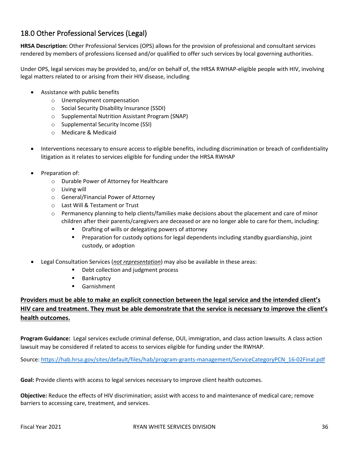## <span id="page-36-0"></span>18.0 Other Professional Services (Legal)

**HRSA Description:** Other Professional Services (OPS) allows for the provision of professional and consultant services rendered by members of professions licensed and/or qualified to offer such services by local governing authorities.

Under OPS, legal services may be provided to, and/or on behalf of, the HRSA RWHAP-eligible people with HIV, involving legal matters related to or arising from their HIV disease, including

- Assistance with public benefits
	- o Unemployment compensation
	- o Social Security Disability Insurance (SSDI)
	- o Supplemental Nutrition Assistant Program (SNAP)
	- o Supplemental Security Income (SSI)
	- o Medicare & Medicaid
- Interventions necessary to ensure access to eligible benefits, including discrimination or breach of confidentiality litigation as it relates to services eligible for funding under the HRSA RWHAP
- Preparation of:
	- o Durable Power of Attorney for Healthcare
	- o Living will
	- o General/Financial Power of Attorney
	- o Last Will & Testament or Trust
	- o Permanency planning to help clients/families make decisions about the placement and care of minor children after their parents/caregivers are deceased or are no longer able to care for them, including:
		- **P** Drafting of wills or delegating powers of attorney
		- **Preparation for custody options for legal dependents including standby guardianship, joint** custody, or adoption
- Legal Consultation Services (*not representation*) may also be available in these areas:
	- **•** Debt collection and judgment process
	- **Bankruptcy**
	- Garnishment

### **Providers must be able to make an explicit connection between the legal service and the intended client's HIV care and treatment. They must be able demonstrate that the service is necessary to improve the client's health outcomes.**

**Program Guidance:** Legal services exclude criminal defense, OUI, immigration, and class action lawsuits. A class action lawsuit may be considered if related to access to services eligible for funding under the RWHAP.

Source: [https://hab.hrsa.gov/sites/default/files/hab/program-grants-management/ServiceCategoryPCN\\_16-02Final.pdf](https://hab.hrsa.gov/sites/default/files/hab/program-grants-management/ServiceCategoryPCN_16-02Final.pdf)

**Goal:** Provide clients with access to legal services necessary to improve client health outcomes.

**Objective:** Reduce the effects of HIV discrimination; assist with access to and maintenance of medical care; remove barriers to accessing care, treatment, and services.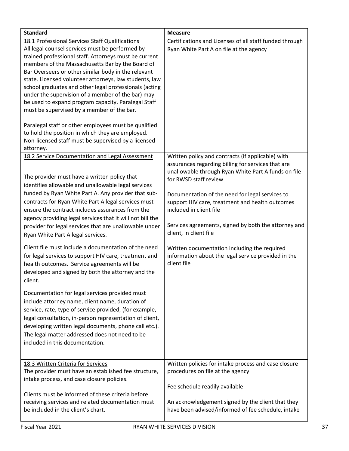| <b>Standard</b>                                                                                                                                                                                                                                                                                                                                                                                                                                                                                                                                                                                                                                                                                                                                                                                                                                                                                                                                                                                                                                                                              | <b>Measure</b>                                                                                                                                                                                                                                                                                                                                                                                                                                                                                                                   |
|----------------------------------------------------------------------------------------------------------------------------------------------------------------------------------------------------------------------------------------------------------------------------------------------------------------------------------------------------------------------------------------------------------------------------------------------------------------------------------------------------------------------------------------------------------------------------------------------------------------------------------------------------------------------------------------------------------------------------------------------------------------------------------------------------------------------------------------------------------------------------------------------------------------------------------------------------------------------------------------------------------------------------------------------------------------------------------------------|----------------------------------------------------------------------------------------------------------------------------------------------------------------------------------------------------------------------------------------------------------------------------------------------------------------------------------------------------------------------------------------------------------------------------------------------------------------------------------------------------------------------------------|
| 18.1 Professional Services Staff Qualifications<br>All legal counsel services must be performed by<br>trained professional staff. Attorneys must be current<br>members of the Massachusetts Bar by the Board of<br>Bar Overseers or other similar body in the relevant<br>state. Licensed volunteer attorneys, law students, law<br>school graduates and other legal professionals (acting<br>under the supervision of a member of the bar) may<br>be used to expand program capacity. Paralegal Staff<br>must be supervised by a member of the bar.                                                                                                                                                                                                                                                                                                                                                                                                                                                                                                                                         | Certifications and Licenses of all staff funded through<br>Ryan White Part A on file at the agency                                                                                                                                                                                                                                                                                                                                                                                                                               |
| Paralegal staff or other employees must be qualified<br>to hold the position in which they are employed.<br>Non-licensed staff must be supervised by a licensed<br>attorney.                                                                                                                                                                                                                                                                                                                                                                                                                                                                                                                                                                                                                                                                                                                                                                                                                                                                                                                 |                                                                                                                                                                                                                                                                                                                                                                                                                                                                                                                                  |
| 18.2 Service Documentation and Legal Assessment<br>The provider must have a written policy that<br>identifies allowable and unallowable legal services<br>funded by Ryan White Part A. Any provider that sub-<br>contracts for Ryan White Part A legal services must<br>ensure the contract includes assurances from the<br>agency providing legal services that it will not bill the<br>provider for legal services that are unallowable under<br>Ryan White Part A legal services.<br>Client file must include a documentation of the need<br>for legal services to support HIV care, treatment and<br>health outcomes. Service agreements will be<br>developed and signed by both the attorney and the<br>client.<br>Documentation for legal services provided must<br>include attorney name, client name, duration of<br>service, rate, type of service provided, (for example,<br>legal consultation, in-person representation of client,<br>developing written legal documents, phone call etc.).<br>The legal matter addressed does not need to be<br>included in this documentation. | Written policy and contracts (if applicable) with<br>assurances regarding billing for services that are<br>unallowable through Ryan White Part A funds on file<br>for RWSD staff review<br>Documentation of the need for legal services to<br>support HIV care, treatment and health outcomes<br>included in client file<br>Services agreements, signed by both the attorney and<br>client, in client file<br>Written documentation including the required<br>information about the legal service provided in the<br>client file |
| 18.3 Written Criteria for Services<br>The provider must have an established fee structure,<br>intake process, and case closure policies.<br>Clients must be informed of these criteria before<br>receiving services and related documentation must<br>be included in the client's chart.                                                                                                                                                                                                                                                                                                                                                                                                                                                                                                                                                                                                                                                                                                                                                                                                     | Written policies for intake process and case closure<br>procedures on file at the agency<br>Fee schedule readily available<br>An acknowledgement signed by the client that they<br>have been advised/informed of fee schedule, intake                                                                                                                                                                                                                                                                                            |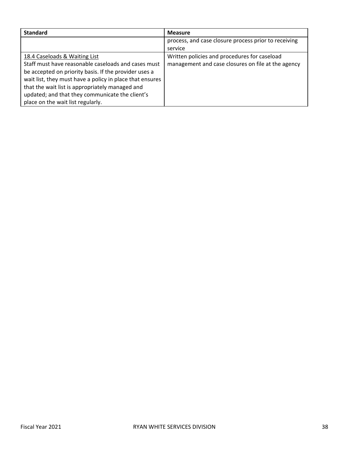| <b>Standard</b>                                          | <b>Measure</b>                                       |
|----------------------------------------------------------|------------------------------------------------------|
|                                                          | process, and case closure process prior to receiving |
|                                                          | service                                              |
| 18.4 Caseloads & Waiting List                            | Written policies and procedures for caseload         |
| Staff must have reasonable caseloads and cases must      | management and case closures on file at the agency   |
| be accepted on priority basis. If the provider uses a    |                                                      |
| wait list, they must have a policy in place that ensures |                                                      |
| that the wait list is appropriately managed and          |                                                      |
| updated; and that they communicate the client's          |                                                      |
| place on the wait list regularly.                        |                                                      |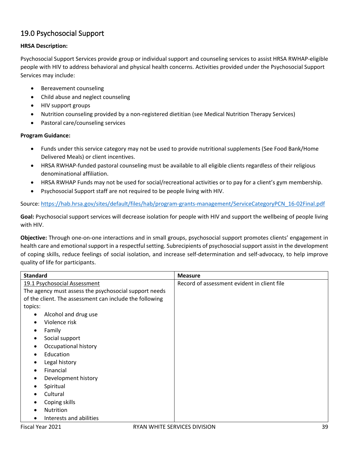## <span id="page-39-0"></span>19.0 Psychosocial Support

#### **HRSA Description:**

Psychosocial Support Services provide group or individual support and counseling services to assist HRSA RWHAP-eligible people with HIV to address behavioral and physical health concerns. Activities provided under the Psychosocial Support Services may include:

- Bereavement counseling
- Child abuse and neglect counseling
- HIV support groups
- Nutrition counseling provided by a non-registered dietitian (see Medical Nutrition Therapy Services)
- Pastoral care/counseling services

#### **Program Guidance:**

- Funds under this service category may not be used to provide nutritional supplements (See Food Bank/Home Delivered Meals) or client incentives.
- HRSA RWHAP-funded pastoral counseling must be available to all eligible clients regardless of their religious denominational affiliation.
- HRSA RWHAP Funds may not be used for social/recreational activities or to pay for a client's gym membership.
- Psychosocial Support staff are not required to be people living with HIV.

Source: [https://hab.hrsa.gov/sites/default/files/hab/program-grants-management/ServiceCategoryPCN\\_16-02Final.pdf](https://hab.hrsa.gov/sites/default/files/hab/program-grants-management/ServiceCategoryPCN_16-02Final.pdf)

**Goal:** Psychosocial support services will decrease isolation for people with HIV and support the wellbeing of people living with HIV.

**Objective:** Through one-on-one interactions and in small groups, psychosocial support promotes clients' engagement in health care and emotional support in a respectful setting. Subrecipients of psychosocial support assist in the development of coping skills, reduce feelings of social isolation, and increase self-determination and self-advocacy, to help improve quality of life for participants.

| <b>Standard</b>                                         | <b>Measure</b>                              |
|---------------------------------------------------------|---------------------------------------------|
| 19.1 Psychosocial Assessment                            | Record of assessment evident in client file |
| The agency must assess the psychosocial support needs   |                                             |
| of the client. The assessment can include the following |                                             |
| topics:                                                 |                                             |
| Alcohol and drug use<br>$\bullet$                       |                                             |
| Violence risk<br>$\bullet$                              |                                             |
| Family                                                  |                                             |
| Social support<br>$\bullet$                             |                                             |
| Occupational history<br>6                               |                                             |
| Education<br>٠                                          |                                             |
| Legal history                                           |                                             |
| Financial<br>$\bullet$                                  |                                             |
| Development history                                     |                                             |
| Spiritual                                               |                                             |
| Cultural                                                |                                             |
| Coping skills                                           |                                             |
| Nutrition<br>$\bullet$                                  |                                             |
| Interests and abilities<br>$\bullet$                    |                                             |
| Fiscal Year 2021                                        | 39<br>RYAN WHITE SERVICES DIVISION          |